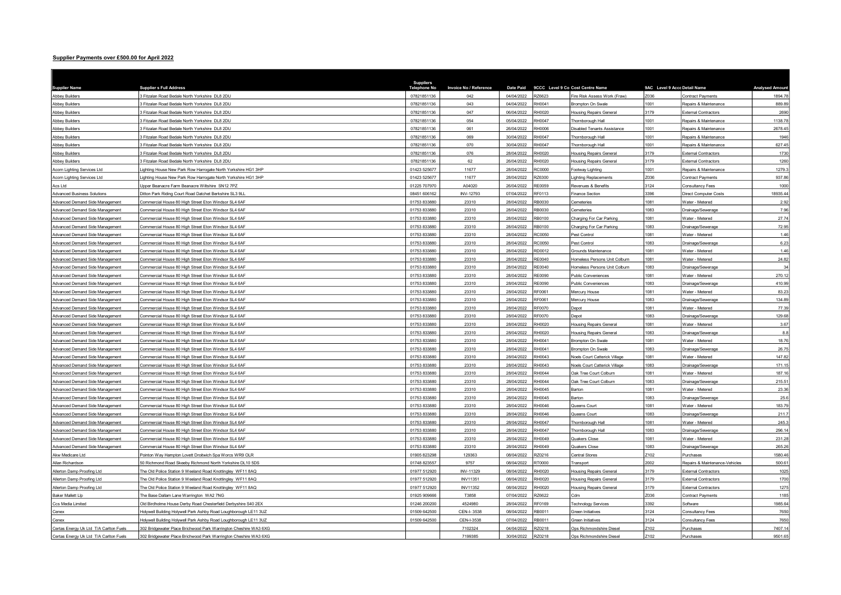## Supplier Payments over £500.00 for April 2022

| <b>Supplier Name</b>                                               | <b>Supplier s Full Address</b>                                                                              | <b>Suppliers</b><br>Telephone No | Invoice No / Reference | <b>Date Paid</b>         | 9CCC Level 9 Co Cost Centre Name |                                    | 9AC Level 9 Accc Detail Name |                                      | <b>Analysed Amount</b> |
|--------------------------------------------------------------------|-------------------------------------------------------------------------------------------------------------|----------------------------------|------------------------|--------------------------|----------------------------------|------------------------------------|------------------------------|--------------------------------------|------------------------|
| <b>Abbey Builders</b>                                              | 3 Fitzalan Road Bedale North Yorkshire DL8 2DU                                                              | 07821851136                      | 042                    | 04/04/2022               | RZ6623                           | Fire Risk Assess Work (Fraw)       | Z036                         | Contract Payments                    | 1894.78                |
| <b>Abbey Builders</b>                                              | 3 Fitzalan Road Bedale North Yorkshire DL8 2DU                                                              | 07821851136                      | 043                    | 04/04/2022               | RH0041                           | Brompton On Swale                  | 1001                         | Repairs & Maintenance                | 889.89                 |
| <b>Abbey Builders</b>                                              | 3 Fitzalan Road Bedale North Yorkshire DL8 2DU                                                              | 07821851136                      | 047                    | 06/04/2022               | RH0020                           | Housing Repairs General            | 3179                         | <b>External Contractors</b>          | 2690                   |
| <b>Abbey Builders</b>                                              | Fitzalan Road Bedale North Yorkshire DL8 2DU                                                                | 07821851136                      | 054                    | 05/04/2022               | RH0047                           | Thornborough Hall                  | 1001                         | Repairs & Maintenance                | 1138.78                |
| <b>Abbey Builders</b>                                              | Fitzalan Road Bedale North Yorkshire DL8 2DU                                                                | 07821851136                      | 061                    | 26/04/2022               | RH0006                           | <b>Disabled Tenants Assistance</b> | 1001                         | Repairs & Maintenance                | 2678.45                |
| <b>Abbey Builders</b>                                              | Fitzalan Road Bedale North Yorkshire DL8 2DU                                                                | 07821851136                      | 069                    | 30/04/2022               | RH0047                           | Thornborough Hall                  | 1001                         | Repairs & Maintenance                | 1946                   |
| <b>Abbey Builders</b>                                              | Fitzalan Road Bedale North Yorkshire DL8 2DU                                                                | 07821851136                      | 070                    | 30/04/2022               | RH0047                           | Thornborough Hall                  | 1001                         | Repairs & Maintenance                | 627.45                 |
| <b>Abbey Builders</b>                                              | Fitzalan Road Bedale North Yorkshire DL8 2DU                                                                | 07821851136                      | 076                    | 28/04/2022               | RH0020                           | <b>Housing Repairs General</b>     | 3179                         | <b>External Contractors</b>          | 1730                   |
| Abbey Builders                                                     | Fitzalan Road Bedale North Yorkshire DL8 2DU                                                                | 07821851136                      | 62                     | 26/04/2022               | RH0020                           | <b>Housing Repairs General</b>     | 3179                         | <b>External Contractors</b>          | 1260                   |
| Acorn Lighting Services Ltd                                        | ighting House New Park Row Harrogate North Yorkshire HG1 3HP                                                | 01423 525677                     | 11677                  | 28/04/2022               | <b>RC0000</b>                    | Footway Lighting                   | 1001                         | Repairs & Maintenance                | 1279.3                 |
| Acorn Lighting Services Ltd                                        | ighting House New Park Row Harrogate North Yorkshire HG1 3HP                                                | 01423 525677                     | 11677                  | 28/04/2022               | RZ6300                           | Lighting Replacements              | Z036                         | <b>Contract Payments</b>             | 937.86                 |
| Acs Ltd                                                            | pper Beanacre Farm Beanacre Wiltshire SN12 7PZ                                                              | 01225 70797                      | A04020                 | 26/04/2022               | RE0059                           | Revenues & Benefits                | 3124                         | Consultancy Fees                     | 1000                   |
| <b>Advanced Business Solutions</b>                                 | Ditton Park Riding Court Road Datchet Berkshire SL3 9LL                                                     | 08451 606162                     | <b>INV-12793</b>       | 07/04/2022               | RF0113                           | Finance Section                    | 3396                         | <b>Direct Computer Costs</b>         | 18935.44               |
| Advanced Demand Side Management                                    | Commercial House 80 High Street Eton Windsor SL4 6AF                                                        | 01753 833880                     | 23310                  | 28/04/2022               | RB0030                           | Cemeteries                         | 1081                         | Water - Metered                      | 2.92                   |
| Advanced Demand Side Management                                    | ommercial House 80 High Street Eton Windsor SL4 6AF                                                         | 01753 833880                     | 23310                  | 28/04/2022               | RB0030                           | Cemeteries                         | 1083                         | Drainage/Sewerage                    | 7.96                   |
| Advanced Demand Side Management                                    | ommercial House 80 High Street Eton Windsor SL4 6AF                                                         | 01753 833880                     | 23310                  | 28/04/2022               | RB0100                           | Charging For Car Parking           | 1081                         | Water - Metered                      | 27.74                  |
| Advanced Demand Side Management                                    | ommercial House 80 High Street Eton Windsor SL4 6AF                                                         | 01753 833880                     | 23310                  | 28/04/2022               | RB0100                           | Charging For Car Parking           | 1083                         | Drainage/Sewerage                    | 72.95                  |
| Advanced Demand Side Management                                    | Commercial House 80 High Street Eton Windsor SL4 6AF                                                        | 01753 833880                     | 23310                  | 28/04/2022               | RC0050                           | Pest Control                       | 1081                         | Water - Metered                      | 1.46                   |
| Advanced Demand Side Management                                    | Commercial House 80 High Street Eton Windsor SL4 6AF                                                        | 01753 833880                     | 23310                  | 28/04/2022               | <b>RC0050</b>                    | Pest Control                       | 1083                         | Drainage/Sewerage                    | 6.23                   |
| Advanced Demand Side Management                                    | ommercial House 80 High Street Eton Windsor SL4 6AF                                                         | 01753 833880                     | 23310                  | 28/04/2022               | RD0012                           | Grounds Maintenance                | 1081                         | Water - Metered                      | 1.46                   |
| Advanced Demand Side Management                                    | ommercial House 80 High Street Eton Windsor SL4 6AF                                                         | 01753 833880                     | 23310                  | 28/04/2022               | RE0040                           | Homeless Persons Unit Colburn      | 1081                         | Water - Metered                      | 24.82                  |
| Advanced Demand Side Management                                    | ommercial House 80 High Street Eton Windsor SL4 6AF                                                         | 01753 83388                      | 23310                  | 28/04/2022               | RE0040                           | Homeless Persons Unit Colburn      | 1083                         | Drainage/Sewerage                    | 34                     |
| Advanced Demand Side Management                                    | Commercial House 80 High Street Eton Windsor SL4 6AF                                                        | 01753 833880                     | 23310                  | 28/04/2022               | RE0090                           | Public Conveniences                | 1081                         | Water - Metered                      | 270.12                 |
| Advanced Demand Side Management                                    | Commercial House 80 High Street Eton Windsor SL4 6AF                                                        | 01753 833880                     | 23310                  | 28/04/2022               | <b>RE0090</b>                    | Public Conveniences                | 1083                         | Drainage/Sewerage                    | 410.99                 |
| Advanced Demand Side Management                                    | ommercial House 80 High Street Eton Windsor SL4 6AF                                                         | 01753 833880                     | 23310                  | 28/04/2022               | RF0061                           | Mercury House                      | 1081                         | Water - Metered                      | 83.23                  |
| Advanced Demand Side Management                                    | Commercial House 80 High Street Eton Windsor SL4 6AF                                                        | 01753 833880                     | 23310                  | 28/04/2022               | RF0061                           | Mercury House                      | 1083                         | Drainage/Sewerage                    | 134.89                 |
| Advanced Demand Side Management                                    | ommercial House 80 High Street Eton Windsor SL4 6AF                                                         | 01753 833880                     | 23310                  | 28/04/2022               | RF0070                           | Depot                              | 1081                         | Water - Metered                      | 77.39                  |
| Advanced Demand Side Management                                    | Commercial House 80 High Street Eton Windsor SL4 6AF                                                        | 01753 833880                     | 23310                  | 28/04/2022               | RF0070                           | Depot                              | 1083                         | Drainage/Sewerage                    | 129.68                 |
| Advanced Demand Side Management                                    | ommercial House 80 High Street Eton Windsor SL4 6AF                                                         | 01753 833880                     | 23310                  | 28/04/2022               | RH0020                           | <b>Housing Repairs General</b>     | 1081                         | Water - Metered                      | 3.67                   |
| Advanced Demand Side Management                                    | Commercial House 80 High Street Eton Windsor SL4 6AF                                                        | 01753 833880                     | 23310                  | 28/04/2022               | RH0020                           | <b>Housing Repairs General</b>     | 1083                         | Drainage/Sewerage                    | 8.8                    |
| Advanced Demand Side Management                                    | ommercial House 80 High Street Eton Windsor SL4 6AF                                                         | 01753 833880                     | 23310                  | 28/04/2022               | RH0041                           | Brompton On Swale                  | 1081                         | Water - Metered                      | 18.76                  |
| Advanced Demand Side Management                                    | ommercial House 80 High Street Eton Windsor SL4 6AF                                                         | 01753 83388                      | 23310                  | 28/04/2022               | RH0041                           | Brompton On Swale                  | 1083                         | Drainage/Sewerage                    | 26.75                  |
| Advanced Demand Side Management                                    | Commercial House 80 High Street Eton Windsor SL4 6AF                                                        | 01753 833880                     | 23310                  | 28/04/2022               | RH0043                           | Noels Court Catterick Village      | 1081                         | Water - Metered                      | 147.82                 |
| Advanced Demand Side Management                                    | Commercial House 80 High Street Eton Windsor SL4 6AF                                                        | 01753 833880                     | 23310                  | 28/04/2022               | RH0043                           | Noels Court Catterick Village      | 1083                         | Drainage/Sewerage                    | 171.1                  |
| Advanced Demand Side Management                                    | ommercial House 80 High Street Eton Windsor SL4 6AF                                                         | 01753 833880                     | 23310                  | 28/04/2022               | RH0044<br><b>RH0044</b>          | Oak Tree Court Colburn             | 1081<br>1083                 | Water - Metered                      | 187.16                 |
| Advanced Demand Side Management                                    | ommercial House 80 High Street Eton Windsor SL4 6AF                                                         | 01753 833880                     | 23310                  | 28/04/2022               |                                  | Oak Tree Court Colburn             | 1081                         | Drainage/Sewerage                    | 215.5'                 |
| Advanced Demand Side Management                                    | ommercial House 80 High Street Eton Windsor SL4 6AF                                                         | 01753 833880                     | 23310                  | 28/04/2022               | RH0045                           | Barton                             |                              | Water - Metered                      | 23.36                  |
| Advanced Demand Side Management                                    | ommercial House 80 High Street Eton Windsor SL4 6AF                                                         | 01753 833880<br>01753 833880     | 23310<br>23310         | 28/04/2022<br>28/04/2022 | RH0045<br>RH0046                 | Barton<br>Queens Court             | 1083<br>1081                 | Drainage/Sewerage<br>Water - Metered | 25.6                   |
| Advanced Demand Side Management                                    | Commercial House 80 High Street Eton Windsor SL4 6AF                                                        |                                  |                        | 28/04/2022               | RH0046                           |                                    | 1083                         |                                      | 183.79                 |
| Advanced Demand Side Management                                    | ommercial House 80 High Street Eton Windsor SL4 6AF                                                         | 01753 833880                     | 23310                  | 28/04/2022               | RH0047                           | Queens Court                       | 1081                         | Drainage/Sewerage<br>Water - Metered | 211.7                  |
| Advanced Demand Side Management                                    | ommercial House 80 High Street Eton Windsor SL4 6AF                                                         | 01753 833880<br>01753 83388      | 23310<br>23310         | 28/04/2022               | RH0047                           | Thornborough Hall                  | 1083                         |                                      | 245.3<br>296.1         |
| Advanced Demand Side Management<br>Advanced Demand Side Management | ommercial House 80 High Street Eton Windsor SL4 6AF<br>Commercial House 80 High Street Eton Windsor SL4 6AF | 01753 833880                     | 23310                  | 28/04/2022               | RH0049                           | Thornborough Hall<br>Quakers Close | 1081                         | Drainage/Sewerage<br>Water - Metered | 231.28                 |
| Advanced Demand Side Management                                    | Commercial House 80 High Street Eton Windsor SL4 6AF                                                        | 01753 833880                     | 23310                  | 28/04/2022               | RH0049                           | <b>Quakers Close</b>               | 1083                         | Drainage/Sewerage                    | 265.26                 |
| Akw Medicare I td                                                  | Pointon Way Hampton Lovett Droitwich Spa Worcs WR9 OLR                                                      | 01905 823298                     | 129363                 | 08/04/2022               | RZ0216                           | Central Stores                     | Z <sub>102</sub>             | Purchases                            | 1580.46                |
| Allan Richardson                                                   | 0 Richmond Road Skeeby Richmond North Yorkshire DL10 5DS                                                    | 01748 823557                     | 9757                   | 08/04/2022               | RT0000                           | Transport                          | 2002                         | Repairs & Maintenance-Vehicles       | 500.6                  |
| Nlerton Damp Proofing Ltd                                          | The Old Police Station 9 Weeland Road Knottingley WF11 8AQ                                                  | 01977 512920                     | INV-11329              | 08/04/2022               | RH0020                           | Housing Repairs General            | 3179                         | <b>External Contractors</b>          | 1025                   |
| <b>Nlerton Damp Proofing Ltd</b>                                   | he Old Police Station 9 Weeland Road Knottingley WF11 8AQ                                                   | 01977 512920                     | <b>INV11351</b>        | 08/04/2022               | RH0020                           | <b>Housing Repairs General</b>     | 3179                         | <b>External Contractors</b>          | 1700                   |
| Allerton Damp Proofing Ltd                                         | The Old Police Station 9 Weeland Road Knottingley WF11 8AQ                                                  | 01977 512920                     | INV11352               | 08/04/2022               | RH0020                           | <b>Housing Repairs General</b>     | 3179                         | <b>External Contractors</b>          | 1275                   |
| <b>Baker Mallett Lip</b>                                           | The Base Dallam Lane Warrington WA2 7NG                                                                     | 01925 909666                     | T3858                  | 07/04/2022               | RZ6622                           | Cdm                                | Z036                         | <b>Contract Payments</b>             | 1185                   |
| Ccs Media Limited                                                  | Old Birdholme House Derby Road Chesterfield Derbyshire S40 2EX                                              | 01246 200200                     | 4524980                | 28/04/2022               | RF0169                           | <b>Technology Services</b>         | 3392                         | Software                             | 1985.64                |
| Cenex                                                              | folywell Building Holywell Park Ashby Road Loughborough LE11 3UZ                                            | 01509 642500                     | CEN-I-3538             | 08/04/2022               | RB0011                           | Green Initiatives                  | 3124                         | Consultancy Fees                     | 7650                   |
| Cenex                                                              | Holywell Building Holywell Park Ashby Road Loughborough LE11 3UZ                                            | 01509 642500                     | CEN-I-3538             | 07/04/2022               | RB0011                           | Green Initiatives                  | 3124                         | Consultancy Fees                     | 7650                   |
| Certas Energy Uk Ltd T/A Carlton Fuels                             | 02 Bridgewater Place Brichwood Park Warrington Cheshire WA3 6XG                                             |                                  | 7102324                | 04/04/2022               | RZ0218                           | Ops Richmondshire Diesel           | Z102                         | Purchases                            | 7407.1                 |
| Certas Energy Uk Ltd T/A Carlton Fuels                             | 302 Bridgewater Place Brichwood Park Warrington Cheshire WA3 6XG                                            |                                  | 7199385                | 30/04/2022               | RZ0218                           | Ops Richmondshire Diesel           | Z <sub>102</sub>             | Purchases                            | 9501.65                |
|                                                                    |                                                                                                             |                                  |                        |                          |                                  |                                    |                              |                                      |                        |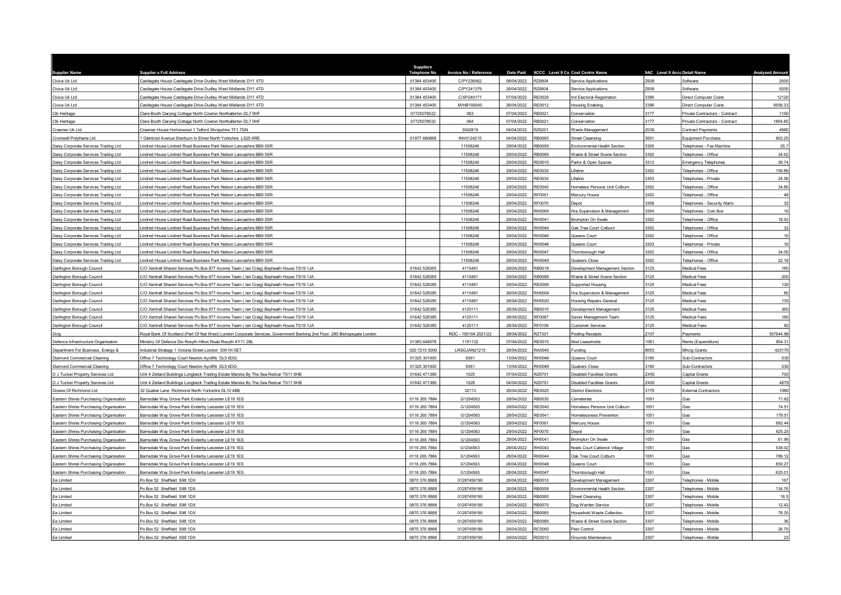| <b>Supplier Name</b>                                                             | <b>Supplier s Full Address</b>                                                                                            | <b>Suppliers</b><br><b>Telephone No</b> | Invoice No / Reference | Date Paid  | 9CCC Level 9 Co Cost Centre Name |                                   | 9AC Level 9 Accc Detail Name |                                           | <b>Analysed Amount</b>                                                                                                                                                                       |
|----------------------------------------------------------------------------------|---------------------------------------------------------------------------------------------------------------------------|-----------------------------------------|------------------------|------------|----------------------------------|-----------------------------------|------------------------------|-------------------------------------------|----------------------------------------------------------------------------------------------------------------------------------------------------------------------------------------------|
| Civica Uk Ltd                                                                    | Castlegate House Castlegate Drive Dudley West Midlands DY1 4TD                                                            | 01384 453400                            | C/PY238562             | 08/04/2022 | RZ6804                           | Service Applications              | 7608                         | Software                                  | 2500                                                                                                                                                                                         |
| Civica Uk Ltd                                                                    | Castlegate House Castlegate Drive Dudley West Midlands DY1 4TD                                                            | 01384 453400                            | C/PY241379             | 26/04/2022 | <b>RZ6804</b>                    | Service Applications              | Z608                         | Software                                  | 9200                                                                                                                                                                                         |
| Civica Uk Ltd                                                                    | Castlegate House Castlegate Drive Dudley West Midlands DY1 4TD                                                            | 01384 453400                            | C/XP240171             | 07/04/2022 | RF0029                           | Ind Electoral Registration        | 3396                         | <b>Direct Computer Costs</b>              | 12120                                                                                                                                                                                        |
| Civica Uk I td                                                                   | Castlegate House Castlegate Drive Dudley West Midlands DY1 4TD                                                            | 01384 453400                            | M/HB100045             | 26/04/2022 | RE0012                           | <b>Housing Enabling</b>           | 3396                         | Direct Computer Costs                     | 9556.33                                                                                                                                                                                      |
| Clb Heritage                                                                     | Clare Booth Darying Cottage North Cowton Northallerton DL7 OHF                                                            | 07725078532                             | 063                    | 07/04/2022 | RB0021                           | Conservation                      | 3177                         | Private Contractors - Contract            | 1150                                                                                                                                                                                         |
| Clb Heritage                                                                     | Clare Booth Darying Cottage North Cowton Northallerton DL7 0HF                                                            | 07725078532                             | 064                    | 07/04/2022 | RB0021                           | Conservation                      | 3177                         | Private Contractors - Contract            | 1864.85                                                                                                                                                                                      |
| Craemer Uk Ltd                                                                   | raemer House Hortonwood 1 Telford Shropshire TF1 7GN                                                                      |                                         | 3042819                | 04/04/2022 | Z6201                            | Waste Management                  | Z036                         | Contract Payments                         | 4980                                                                                                                                                                                         |
| Cromwell Polythene Ltd                                                           | Glentrool Avenue Sherburn In Elmet North Yorkshire LS25 6RE                                                               | 01977 686868                            | INV0124215             | 04/04/2022 | RB0060                           | <b>Street Cleansing</b>           | 3001                         | Equipment Purchase                        | 803.25                                                                                                                                                                                       |
| laisy Corporate Services Trading Ltd                                             | indred House Lindred Road Business Park Nelson Lancashire BB9 5SR                                                         |                                         | 11508246               | 28/04/2022 | B0059                            | Environmental Health Section      | 3305                         | Telephones - Fax Machine                  | 25.7                                                                                                                                                                                         |
| Daisy Corporate Services Trading Ltd                                             | indred House Lindred Road Business Park Nelson Lancashire BB9 5SR                                                         |                                         | 11508246               | 28/04/2022 | RB0089                           | Waste & Street Scene Section      | 3302                         | Telephones - Office                       | 34.62                                                                                                                                                                                        |
| Daisy Corporate Services Trading Ltd                                             | indred House Lindred Road Business Park Nelson Lancashire BB9 5SR                                                         |                                         | 11508246               | 28/04/2022 | RD0010                           | Parks & Open Spaces               | 3312                         | <b>Emergency Telephones</b>               | 39.74                                                                                                                                                                                        |
| Daisy Corporate Services Trading Ltd                                             | indred House Lindred Road Business Park Nelson Lancashire BB9 5SR                                                         |                                         | 11508246               | 28/04/2022 | RE0030                           | Lifeline                          | 3302                         | Telephones - Office                       | 159.89                                                                                                                                                                                       |
| Daisy Corporate Services Trading Ltd                                             | indred House Lindred Road Business Park Nelson Lancashire BB9 5SR                                                         |                                         | 11508246               | 28/04/2022 | RE0030                           | Lifeline                          | 3303                         | Telephones - Private                      | 24.56                                                                                                                                                                                        |
| Daisy Corporate Services Trading Ltd                                             | indred House Lindred Road Business Park Nelson Lancashire BB9 5SR                                                         |                                         | 11508246               | 28/04/2022 | RE0040                           | Homeless Persons Unit Colburn     | 3302                         | Telephones - Office                       | 34.86                                                                                                                                                                                        |
| Daisy Corporate Services Trading Ltd                                             | indred House Lindred Road Business Park Nelson Lancashire BB9 5SR                                                         |                                         | 11508246               | 28/04/2022 | RF0061                           | Mercury House                     | 3302                         | Telephones - Office                       | 48                                                                                                                                                                                           |
| Daisy Corporate Services Trading Ltd                                             | indred House Lindred Road Business Park Nelson Lancashire BB9 5SR                                                         |                                         | 11508246               | 28/04/2022 | RF0070                           | Depot                             | 3308                         | Telephones - Security Alarm               | 32                                                                                                                                                                                           |
| Daisy Corporate Services Trading Ltd                                             | indred House Lindred Road Business Park Nelson Lancashire BB9 5SR                                                         |                                         | 11508246               | 28/04/2022 | H0004                            | Hra Supervision & Management      | 3304                         | Telephones - Coin Bo:                     | 16                                                                                                                                                                                           |
| Daisy Corporate Services Trading Ltd                                             | indred House Lindred Road Business Park Nelson Lancashire BB9 5SR                                                         |                                         | 11508246               | 28/04/2022 | RH0041                           | <b>Brompton On Swale</b>          | 3302                         | Telephones - Office                       | 18.93                                                                                                                                                                                        |
| Daisy Corporate Services Trading Ltd                                             | indred House Lindred Road Business Park Nelson Lancashire BB9 5SR                                                         |                                         | 11508246               | 28/04/2022 | H0044                            | Oak Tree Court Colburn            | 3302                         | Telephones - Office                       | 32                                                                                                                                                                                           |
| Daisy Corporate Services Trading Ltd                                             | indred House Lindred Road Business Park Nelson Lancashire BB9 5SR                                                         |                                         | 11508246               | 28/04/2022 | RH0046                           | Queens Court                      | 3302                         | Telephones - Office                       | 16                                                                                                                                                                                           |
| Daisy Corporate Services Trading Ltd                                             | indred House Lindred Road Business Park Nelson Lancashire BB9 5SR                                                         |                                         | 11508246               | 28/04/2022 | H0046                            | Queens Court                      | 3303                         | Telephones - Private                      | 16                                                                                                                                                                                           |
| Daisy Corporate Services Trading Ltd                                             | indred House Lindred Road Business Park Nelson Lancashire BB9 5SR                                                         |                                         | 11508246               | 28/04/2022 | H0047                            | Thornborough Hall                 | 3302                         | Telephones - Office                       | 34.05                                                                                                                                                                                        |
| Daisy Corporate Services Trading Ltd                                             | indred House Lindred Road Business Park Nelson Lancashire BB9 5SR                                                         |                                         | 11508246               | 28/04/2022 | RH0049                           | Quakers Close                     | 3302                         | Telephones - Office                       | 22.18                                                                                                                                                                                        |
| Darlington Borough Council                                                       | C/O Xentrall Shared Services Po Box 877 Income Team (Ian Craig) Bayheath House TS19 1JA                                   | 01642 528385                            | 4115491                | 26/04/2022 | RB0019                           | Development Management Section    | 3125                         | Medical Fees                              | 180                                                                                                                                                                                          |
| Darlington Borough Council                                                       | C/O Xentrall Shared Services Po Box 877 Income Team ( Ian Craig) Bayheath House TS19 1JA                                  | 01642 528385                            | 4115491                | 26/04/2022 | RB0089                           | Waste & Street Scene Section      | 3125                         | Medical Fees                              | 200                                                                                                                                                                                          |
| Darlington Borough Council                                                       | C/O Xentrall Shared Services Po Box 877 Income Team (Ian Craig) Bayheath House TS19 1JA                                   | 01642 528385                            | 4115491                | 26/04/2022 | RE0008                           | Supported Housing                 | 3125                         | Medical Fees                              | 130                                                                                                                                                                                          |
| Darlington Borough Council                                                       | C/O Xentrall Shared Services Po Box 877 Income Team ( Ian Craig) Bayheath House TS19 1JA                                  | 01642 528385                            | 4115491                | 26/04/2022 | RH0004                           | Hra Supervision & Management      | 3125                         | Medical Fees                              | 80                                                                                                                                                                                           |
| Darlington Borough Council                                                       | C/O Xentrall Shared Services Po Box 877 Income Team (Ian Craig) Bayheath House TS19 1JA                                   | 01642 528385                            | 4115491                | 26/04/2022 | RH0020                           | <b>Housing Repairs General</b>    | 3125                         | Medical Fees                              | 130                                                                                                                                                                                          |
| Darlington Borough Council                                                       | C/O Xentrall Shared Services Po Box 877 Income Team (Ian Craig) Bayheath House TS19 1JA                                   | 01642 528385                            | 4120111                | 28/04/2022 | RB0010                           | Development Management            | 3125                         | Medical Fees                              | 360                                                                                                                                                                                          |
| Darlington Borough Council                                                       | C/O Xentrall Shared Services Po Box 877 Income Team (Ian Craig) Bayheath House TS19 1JA                                   | 01642 52838                             | 4120111                | 28/04/2022 | E0087                            | Senior Management Team            | 3125                         | Medical Fees                              | 180                                                                                                                                                                                          |
| Darlington Borough Council                                                       | C/O Xentrall Shared Services Po Box 877 Income Team ( Ian Craig) Bayheath House TS19 1JA                                  | 01642 528385                            | 4120111                | 28/04/2022 | RF0109                           | <b>Customer Services</b>          | 3125                         | Medical Fees                              | 60                                                                                                                                                                                           |
| Dclg                                                                             | Royal Bank Of Scotland (Part Of Nat West) London Corporate Services, Government Banking 2nd Floor, 280 Bishopsgate London |                                         | RDC - 100104 2021/22   | 28/04/2022 | RZ7301                           | Pooling Receipts                  | Z107                         | Payments                                  | 357644.98                                                                                                                                                                                    |
| Defence Infrastructure Organisation                                              | Ministry Of Defence Dio Rosyth Hilton Road Rosyth KY11 2BL                                                                | 01383 648076                            | 1151132                | 07/04/2022 | RE0015                           | Mod Leaseholds                    | 1061                         | Rents (Expenditure)                       | 954.31                                                                                                                                                                                       |
| Department For Business, Energy &                                                | ndustrial Strategy 1 Victoria Street London SW1H 0ET                                                                      | 020 7215 500                            | LRSGJAN21215           | 28/04/2022 | RA0040                           | Funding                           | 8003                         | Mhclg Grants                              | 423170                                                                                                                                                                                       |
| Diamond Commercial Cleaning                                                      |                                                                                                                           |                                         |                        |            |                                  |                                   |                              |                                           |                                                                                                                                                                                              |
|                                                                                  | Office 7 Technology Court Newton Aycliffe DL5 6DQ                                                                         | 01325 301000                            | 9361                   | 13/04/2022 | RH0046                           | Queens Court                      | 3180                         | Sub-Contractors                           |                                                                                                                                                                                              |
| <b>Diamond Commercial Cleaning</b>                                               | Office 7 Technology Court Newton Aycliffe DL5 6DQ                                                                         | 01325 301000                            | 9361                   | 13/04/2022 | RH0049                           | Quakers Close                     | 3180                         | Sub-Contractors                           |                                                                                                                                                                                              |
| D J Tucker Property Services Ltd                                                 | Jnit 4 Zetland Buildings Longbeck Trading Estate Marske By The Sea Redcar TS11 6HB                                        | 01642 471369                            | 1025                   | 07/04/2022 | RZ6701                           | <b>Disabled Facilities Grants</b> | Z450                         | Capital Grants                            |                                                                                                                                                                                              |
| D J Tucker Property Services Ltd                                                 | Jnit 4 Zetland Buildings Longbeck Trading Estate Marske By The Sea Redcar TS11 6HB                                        | 01642 471369                            | 1028                   | 04/04/2022 | 376701                           | <b>Disabled Facilities Grants</b> | Z450                         | Capital Grants                            |                                                                                                                                                                                              |
| Dowse Of Richmond Ltd                                                            | 32 Quaker Lane Richmond North Yorkshire DL10 4BB                                                                          |                                         | 32113                  | 26/04/2022 | RE0020                           | <b>District Elections</b>         | 3179                         | <b>External Contractors</b>               |                                                                                                                                                                                              |
| astern Shires Purchasing Organisation                                            | Barnsdale Way Grove Park Enderby Leicester LE19 1ES                                                                       | 0116 265 7884                           | G1204563               | 28/04/2022 | RB0030                           | Cemeteries                        | 1051                         | Gas                                       |                                                                                                                                                                                              |
| Eastern Shires Purchasing Organisation                                           | Barnsdale Way Grove Park Enderby Leicester LE19 1ES                                                                       | 0116 265 7884                           | G1204563               | 28/04/2022 | <b>RE0040</b>                    | Homeless Persons Unit Colburn     | 1051                         | Gas                                       |                                                                                                                                                                                              |
| Eastern Shires Purchasing Organisation                                           | Barnsdale Way Grove Park Enderby Leicester LE19 1ES                                                                       | 0116 265 7884                           | G1204563               | 28/04/2022 | RE0041                           | Homelessness Prevention           | 1051                         | Gas                                       |                                                                                                                                                                                              |
| Eastern Shires Purchasing Organisation                                           | Barnsdale Way Grove Park Enderby Leicester LE19 1ES                                                                       | 0116 265 7884                           | G1204563               | 28/04/2022 | RF0061                           | Mercury House                     | 1051                         | Gas                                       |                                                                                                                                                                                              |
| Eastern Shires Purchasing Organisation                                           | arnsdale Way Grove Park Enderby Leicester LE19 1ES                                                                        | 0116 265 7884                           | G1204563               | 28/04/2022 | F0070                            | Depot                             | 1051                         | Gas                                       |                                                                                                                                                                                              |
| Eastern Shires Purchasing Organisation                                           | Barnsdale Way Grove Park Enderby Leicester LE19 1ES                                                                       | 0116 265 7884                           | G1204563               | 28/04/2022 | RH0041                           | <b>Brompton On Swale</b>          | 1051                         | Gas                                       |                                                                                                                                                                                              |
| Eastern Shires Purchasing Organisation                                           | Barnsdale Way Grove Park Enderby Leicester LE19 1ES                                                                       | 0116 265 7884                           | G1204563               | 28/04/2022 | RH0043                           | Noels Court Catterick Village     | 1051                         | Gas                                       |                                                                                                                                                                                              |
|                                                                                  |                                                                                                                           |                                         |                        | 28/04/2022 | RH0044                           | Oak Tree Court Colburn            | 1051                         | Gas                                       |                                                                                                                                                                                              |
| Eastern Shires Purchasing Organisation<br>Eastern Shires Purchasing Organisation | arnsdale Way Grove Park Enderby Leicester LE19 1ES<br>3arnsdale Way Grove Park Enderby Leicester LE19 1ES                 | 0116 265 7884<br>0116 265 7884          | G1204563<br>G1204563   | 28/04/2022 | RH0046                           | Queens Court                      | 1051                         | Gas                                       |                                                                                                                                                                                              |
| Eastern Shires Purchasing Organisation                                           | 3arnsdale Way Grove Park Enderby Leicester LE19 1ES                                                                       | 0116 265 7884                           | G1204563               | 28/04/2022 | RH0047                           | Thornborough Hall                 | 1051                         | Gas                                       |                                                                                                                                                                                              |
| Ee Limited                                                                       | Po Box 52 Sheffield S98 1DX                                                                                               | 0870 376 8888                           | 01287459190            | 26/04/2022 | RB0010                           | Development Management            | 3307                         | Telephones - Mobile                       |                                                                                                                                                                                              |
| Ee Limited                                                                       | O Box 52 Sheffield S98 1DX                                                                                                | 0870 376 8888                           | 01287459190            | 26/04/2022 | RB0059                           | Environmental Health Section      | 3307                         | Telephones - Mobile                       |                                                                                                                                                                                              |
| Ee Limited                                                                       | O Box 52 Sheffield S98 1DX                                                                                                | 0870 376 8888                           | 01287459190            | 26/04/2022 | 080089                           | <b>Street Cleansing</b>           | 3307                         | Telephones - Mobile                       |                                                                                                                                                                                              |
| Ee Limited                                                                       | O Box 52 Sheffield S98 1DX                                                                                                | 0870 376 888                            | 01287459190            | 26/04/2022 | RB0070                           | Dog Warden Service                | 3307                         | Telephones - Mobile                       |                                                                                                                                                                                              |
| Ee Limited                                                                       | Po Box 52 Sheffield S98 1DX                                                                                               | 0870 376 8888                           | 01287459190            | 26/04/2022 | 0800BF                           | Household Waste Collection        | 3307                         |                                           |                                                                                                                                                                                              |
| Ee Limited                                                                       | O Box 52 Sheffield S98 1DX                                                                                                | 0870 376 888                            | 01287459190            | 26/04/2022 | <b>B0089</b>                     | Waste & Street Scene Section      | 3307                         | Telephones - Mobile<br>Telephones - Mobil |                                                                                                                                                                                              |
| Ee Limited                                                                       | Po Box 52 Sheffield S98 1DX                                                                                               | 0870 376 8888                           | 01287459190            | 26/04/2022 | RC0050                           | Pest Control                      | 3307                         | Telephones - Mobile                       | 530<br>530<br>700<br>4679<br>1080<br>71.62<br>74.51<br>179.51<br>682.44<br>625.25<br>61.98<br>538.02<br>789.12<br>850.27<br>625.01<br>167<br>134.76<br>16.5<br>12.42<br>78.25<br>36<br>26.75 |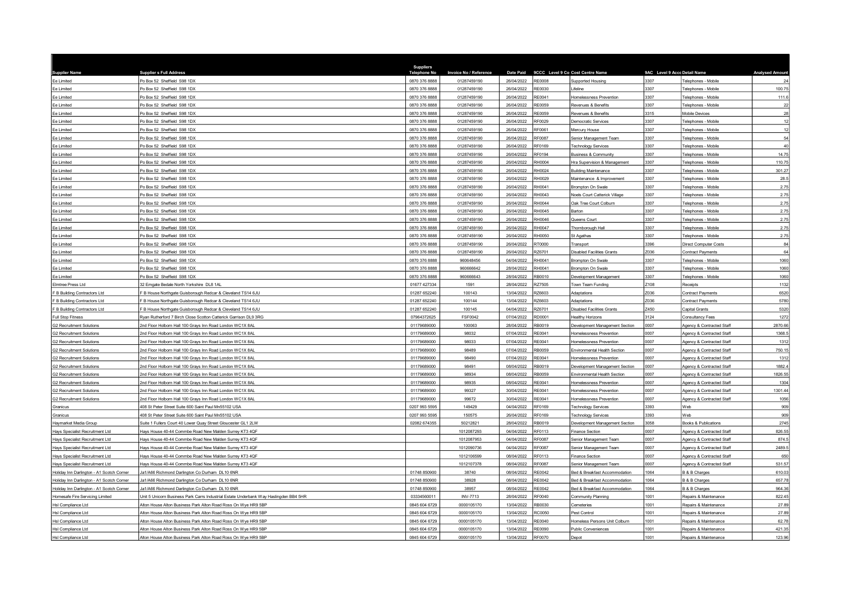|                                           |                                                                                       | Suppliers           |                        |                  |               |                                   |                              |                            |                        |
|-------------------------------------------|---------------------------------------------------------------------------------------|---------------------|------------------------|------------------|---------------|-----------------------------------|------------------------------|----------------------------|------------------------|
| <b>Supplier Name</b>                      | <b>Supplier s Full Address</b>                                                        | <b>Telephone No</b> | Invoice No / Reference | <b>Date Paid</b> |               | 9CCC Level 9 Co Cost Centre Name  | 9AC Level 9 Accc Detail Name |                            | <b>Analysed Amount</b> |
| Ee Limited                                | Po Box 52 Sheffield S98 1DX                                                           | 0870 376 8888       | 01287459190            | 26/04/2022       | <b>RE0008</b> | Supported Housing                 | 3307                         | Felephones - Mobile        | 24                     |
| Ee Limited                                | o Box 52 Sheffield S98 1DX                                                            | 0870 376 8888       | 01287459190            | 26/04/2022       | RE0030        | ifeline                           | 3307                         | Telephones - Mobile        | 100.75                 |
| Ee Limited                                | o Box 52 Sheffield S98 1DX                                                            | 0870 376 8888       | 01287459190            | 26/04/2022       | E0041         | Homelessness Prevention           | 3307                         | <b>Felephones - Mobile</b> | 111.6                  |
| Ee Limited                                | O Box 52 Sheffield S98 1DX                                                            | 0870 376 8888       | 01287459190            | 26/04/2022       | RE0059        | Revenues & Benefits               | 3307                         | Telephones - Mobile        | 22                     |
| Ee Limited                                | o Box 52 Sheffield S98 1DX                                                            | 0870 376 8888       | 01287459190            | 26/04/2022       | E0059         | Revenues & Benefits               | 3315                         | Mobile Devices             | 28                     |
| Ee Limited                                | O Box 52 Sheffield S98 1DX                                                            | 0870 376 8888       | 01287459190            | 26/04/2022       | RF0029        | Democratic Services               | 3307                         | Telephones - Mobile        | 12                     |
| Ee Limited                                | o Box 52 Sheffield S98 1DX                                                            | 0870 376 8888       | 01287459190            | 26/04/2022       | F0061         | Mercury House                     | 3307                         | Telephones - Mobile        | 12                     |
| Ee Limited                                | O Box 52 Sheffield S98 1DX                                                            | 0870 376 8888       | 01287459190            | 26/04/2022       | RF0087        | Senior Management Team            | 3307                         | Telephones - Mobile        | 54                     |
| Ee Limited                                | o Box 52 Sheffield S98 1DX                                                            | 0870 376 888        | 01287459190            | 26/04/2022       | RF0169        | <b>Technology Services</b>        | 3307                         | Felephones - Mobile        | 40                     |
| Ee Limited                                | O Box 52 Sheffield S98 1DX                                                            | 0870 376 8888       | 01287459190            | 26/04/2022       | RF0194        | <b>Business &amp; Community</b>   | 3307                         | Telephones - Mobile        | 14.75                  |
| Ee Limited                                | O Box 52 Sheffield S98 1DX                                                            | 0870 376 888        | 01287459190            | 26/04/2022       | H0004         | Hra Supervision & Management      | 3307                         | Telephones - Mobile        | 110.75                 |
| Ee Limited                                | Po Box 52 Sheffield S98 1DX                                                           | 0870 376 8888       | 01287459190            | 26/04/2022       | RH0024        | <b>Building Maintenance</b>       | 3307                         | Telephones - Mobile        | 301.27                 |
| Ee Limited                                | O Box 52 Sheffield S98 1DX                                                            | 0870 376 8888       | 01287459190            | 26/04/2022       | RH0029        | Maintenance & Improvement         | 3307                         | Telephones - Mobile        | 28.5                   |
| Ee Limited                                | Po Box 52 Sheffield S98 1DX                                                           | 0870 376 8888       | 01287459190            | 26/04/2022       | RH0041        | <b>Brompton On Swale</b>          | 3307                         | Telephones - Mobile        | 2.75                   |
| Ee Limited                                | O Box 52 Sheffield S98 1DX                                                            | 0870 376 8888       | 01287459190            | 26/04/2022       | RH0043        | Noels Court Catterick Village     | 3307                         | Telephones - Mobile        | 2.75                   |
| Ee Limited                                | Po Box 52 Sheffield S98 1DX                                                           | 0870 376 8888       | 01287459190            | 26/04/2022       | RH0044        | Oak Tree Court Colburn            | 3307                         | Telephones - Mobile        | 2.75                   |
| Ee Limited                                | Po Box 52 Sheffield S98 1DX                                                           | 0870 376 8888       | 01287459190            | 26/04/2022       | H0045         | Barton                            | 3307                         | Telephones - Mobile        | 2.75                   |
| Ee Limited                                | Po Box 52 Sheffield S98 1DX                                                           | 0870 376 8888       | 01287459190            | 26/04/2022       | RH0046        | Queens Court                      | 3307                         | Telephones - Mobile        | 2.75                   |
| Ee Limited                                | Po Box 52 Sheffield S98 1DX                                                           | 0870 376 8888       | 01287459190            | 26/04/2022       | RH0047        | Thornborough Hall                 | 3307                         | Telephones - Mobile        | 2.75                   |
| Fe I imited                               | Po Box 52 Sheffield S98 1DX                                                           | 0870 376 8888       | 01287459190            | 26/04/2022       | RH0050        | St Agathas                        | 3307                         | Telephones - Mobile        | 2.75                   |
| Ee Limited                                | On Box 52 Sheffield S98 1DX                                                           | 0870 376 8888       | 01287459190            | 26/04/2022       | 000019        | Transport                         | 3396                         | Direct Computer Costs      | 84                     |
| Ee Limited                                | o Box 52 Sheffield S98 1DX                                                            | 0870 376 8888       | 01287459190            | 26/04/2022       | <b>226701</b> | <b>Disabled Facilities Grants</b> | Z036                         | Contract Payments          | 64                     |
| Fe I imited                               | Po Box 52 Sheffield S98 1DX                                                           | 0870 376 8888       | 960648456              | 04/04/2022       | RH0041        | <b>Brompton On Swale</b>          | 3307                         | Telephones - Mobile        | 1060                   |
| Ee Limited                                | O Box 52 Sheffield S98 1DX                                                            | 0870 376 8888       | 960666642              | 28/04/2022       | RH0041        | Brompton On Swale                 | 3307                         | Telephones - Mobile        | 1060                   |
| Ee Limited                                | O Box 52 Sheffield S98 1DX                                                            | 0870 376 8888       | 960666643              | 28/04/2022       | RB0010        | Development Management            | 3307                         | Telephones - Mobile        | 1060                   |
| Elmtree Press Ltd                         | 32 Emgate Bedale North Yorkshire DL8 1AL                                              | 01677 427334        | 1591                   | 28/04/2022       | 377505        | Town Team Funding                 | Z108                         | Receipts                   | 1132                   |
| F B Building Contractors Ltd              | B House Northgate Guisborough Redcar & Cleveland TS14 6JU                             | 01287 652240        | 100143                 | 13/04/2022       | R76603        | Adaptations                       | Z036                         | Contract Payments          | 6520                   |
| F B Building Contractors Ltd              | B House Northgate Guisborough Redcar & Cleveland TS14 6JU                             | 01287 652240        | 100144                 | 13/04/2022       | RZ6603        | Adaptations                       | Z036                         | <b>Contract Payments</b>   | 5780                   |
| F B Building Contractors Ltd              | B House Northgate Guisborough Redcar & Cleveland TS14 6JU                             | 01287 652240        | 100145                 | 04/04/2022       | <b>226701</b> | <b>Disabled Facilities Grants</b> | Z450                         | Capital Grants             | 5320                   |
| Full Stop Fitness                         | Ryan Rutherford 7 Birch Close Scotton Catterick Garrison DL9 3RG                      | 07964372625         | FSF0042                | 07/04/2022       | <b>D0001</b>  | Healthy Horizons                  | 3124                         | Consultancy Fees           | 1272                   |
| <b>G2 Recruitment Solutions</b>           | Ind Floor Holborn Hall 100 Grays Inn Road London WC1X 8AL                             | 01179689000         | 100063                 | 28/04/2022       | RB0019        | Development Management Section    | 0007                         | Agency & Contracted Staff  | 2870.66                |
| <b>G2 Recruitment Solutions</b>           | Ind Floor Holborn Hall 100 Grays Inn Road London WC1X 8AL                             | 01179689000         | 98032                  | 07/04/2022       | RE0041        | Homelessness Prevention           | 0007                         | Agency & Contracted Staff  | 1368.5                 |
| <b>G2 Recruitment Solutions</b>           | Ind Floor Holborn Hall 100 Grays Inn Road London WC1X 8AL                             | 01179689000         | 98033                  | 07/04/2022       | RE0041        | Homelessness Prevention           | 0007                         | Agency & Contracted Staff  | 1312                   |
| <b>G2 Recruitment Solutions</b>           | nd Floor Holborn Hall 100 Grays Inn Road London WC1X 8AL                              | 01179689000         | 98489                  | 07/04/2022       | B0059         | Environmental Health Section      | 0007                         | Agency & Contracted Staff  | 750.15                 |
| <b>G2 Recruitment Solutions</b>           | 2nd Floor Holborn Hall 100 Grays Inn Road London WC1X 8AL                             | 01179689000         | 98490                  | 07/04/2022       | RE0041        | Homelessness Prevention           | 0007                         | Agency & Contracted Staff  | 1312                   |
| <b>G2 Recruitment Solutions</b>           | Ind Floor Holborn Hall 100 Grays Inn Road London WC1X 8AL                             | 01179689000         | 98491                  | 08/04/2022       | RB0019        | Development Management Section    | 0007                         | Agency & Contracted Staff  | 1882.4                 |
| <b>G2 Recruitment Solutions</b>           | 2nd Floor Holborn Hall 100 Grays Inn Road London WC1X 8AL                             | 01179689000         | 98934                  | 08/04/2022       | RB0059        | Environmental Health Section      | 0007                         | Agency & Contracted Staff  | 1826.55                |
| <b>G2 Recruitment Solutions</b>           | Ind Floor Holborn Hall 100 Grays Inn Road London WC1X 8AL                             | 01179689000         | 98935                  | 08/04/2022       | RE0041        | Homelessness Prevention           | 0007                         | Agency & Contracted Staff  | 1304                   |
| <b>G2 Recruitment Solutions</b>           | 2nd Floor Holborn Hall 100 Grays Inn Road London WC1X 8AL                             | 01179689000         | 99327                  | 30/04/2022       | RE0041        | Homelessness Prevention           | 0007                         | Agency & Contracted Staff  | 1301.44                |
| <b>G2 Recruitment Solutions</b>           | Ind Floor Holborn Hall 100 Grays Inn Road London WC1X 8AL                             | 01179689000         | 99672                  | 30/04/2022       | RE0041        | Homelessness Prevention           | 0007                         | Agency & Contracted Staff  | 1056                   |
| Granicus                                  | 408 St Peter Street Suite 600 Saint Paul Mn55102 USA                                  | 0207 993 5595       | 149429                 | 04/04/2022       | RF0169        | <b>Technology Services</b>        | 3393                         | <b>Web</b>                 | 909                    |
| Granicus                                  | 408 St Peter Street Suite 600 Saint Paul Mn55102 USA                                  | 0207 993 5595       | 150575                 | 26/04/2022       | RF0169        | <b>Technology Services</b>        | 3393                         | Web                        | 909                    |
| Haymarket Media Group                     | Suite 1 Fullers Court 40 Lower Quay Street Gloucester GL1 2LW                         | 02082 674355        | 50212821               | 28/04/2022       | RB0019        | Development Management Section    | 3058                         | Books & Publications       | 2745                   |
| Hays Specialist Recruitment Ltd           | lavs House 40-44 Commbe Road New Malden Surrey KT3 4QF                                |                     | 1012087293             | 04/04/2022       | RF0113        | Finance Section                   | 0007                         | Agency & Contracted Staff  | 826.55                 |
| Hays Specialist Recruitment Ltd           | lavs House 40-44 Commbe Road New Malden Surrey KT3 4QF                                |                     | 1012087953             | 04/04/2022       | RF0087        | Senior Management Team            | 0007                         | Agency & Contracted Staff  | 874.5                  |
| Hays Specialist Recruitment Ltd           | Javs House 40-44 Commbe Road New Malden Surrey KT3 4OF                                |                     | 1012090736             | 04/04/2022       | RF0087        | Senior Management Team            | 0007                         | Agency & Contracted Staff  | 2489.5                 |
| Hays Specialist Recruitment Ltd           | lays House 40-44 Commbe Road New Malden Surrey KT3 4QF                                |                     | 1012106599             | 08/04/2022       | RF0113        | <b>Finance Section</b>            | 0007                         | Agency & Contracted Staff  | 650                    |
| Hays Specialist Recruitment Ltd           | lays House 40-44 Commbe Road New Malden Surrey KT3 4QF                                |                     | 1012107378             | 08/04/2022       | E0087         | Senior Management Team            | 0007                         | Agency & Contracted Staff  | 531.57                 |
| Holiday Inn Darlington - A1 Scotch Corner | a1/A66 Richmond Darlington Co Durham DL10 6NR                                         | 01748 850900        | 38740                  | 08/04/2022       | RE0042        | Bed & Breakfast Accommodation     | 1064                         | B & B Charges              | 610.03                 |
| Holiday Inn Darlington - A1 Scotch Corner | a1/A66 Richmond Darlington Co Durham DL10 6NR                                         | 01748 850900        | 38928                  | 08/04/2022       | RE0042        | Bed & Breakfast Accommodation     | 1064                         | B & B Charges              | 657.78                 |
| Holiday Inn Darlington - A1 Scotch Corner | a1/A66 Richmond Darlington Co Durham DL10 6NR                                         | 01748 850900        | 38957                  | 08/04/2022       | RE0042        | Bed & Breakfast Accommodation     | 1064                         | B & B Charges              | 964.36                 |
| Homesafe Fire Servicing Limited           | Jnit 5 Unicorn Business Park Carrs Industrial Estate Underbank Way Haslingden BB4 5HR | 03334560011         | <b>INV-7713</b>        | 28/04/2022       | RF0040        | Community Planning                | 1001                         | Repairs & Maintenance      | 822.45                 |
| Hsl Compliance Ltd                        | Alton House Alton Business Park Alton Road Ross On Wye HR9 5BF                        | 0845 604 6729       | 0000105170             | 13/04/2022       | RB0030        | Cemeteries                        | 1001                         | Repairs & Maintenance      | 27.89                  |
| HsI Compliance Ltd                        | Alton House Alton Business Park Alton Road Ross On Wye HR9 5BF                        | 0845 604 6729       | 0000105170             | 13/04/2022       | RC0050        | Pest Control                      | 1001                         | Repairs & Maintenance      | 27.89                  |
| Hsl Compliance Ltd                        | Alton House Alton Business Park Alton Road Ross On Wye HR9 5BP                        | 0845 604 6729       | 0000105170             | 13/04/2022       | RE0040        | Homeless Persons Unit Colburn     | 1001                         | Repairs & Maintenance      | 62.78                  |
| Hsl Compliance Ltd                        | Alton House Alton Business Park Alton Road Ross On Wye HR9 5BP                        | 0845 604 6729       | 0000105170             | 13/04/2022       | RE0090        | Public Conveniences               | 1001                         | Repairs & Maintenance      | 421.35                 |
| HsI Compliance Ltd                        | Alton House Alton Business Park Alton Road Ross On Wye HR9 5BP                        | 0845 604 6729       | 0000105170             | 13/04/2022       | RF0070        | Depot                             | 1001                         | Repairs & Maintenance      | 123.96                 |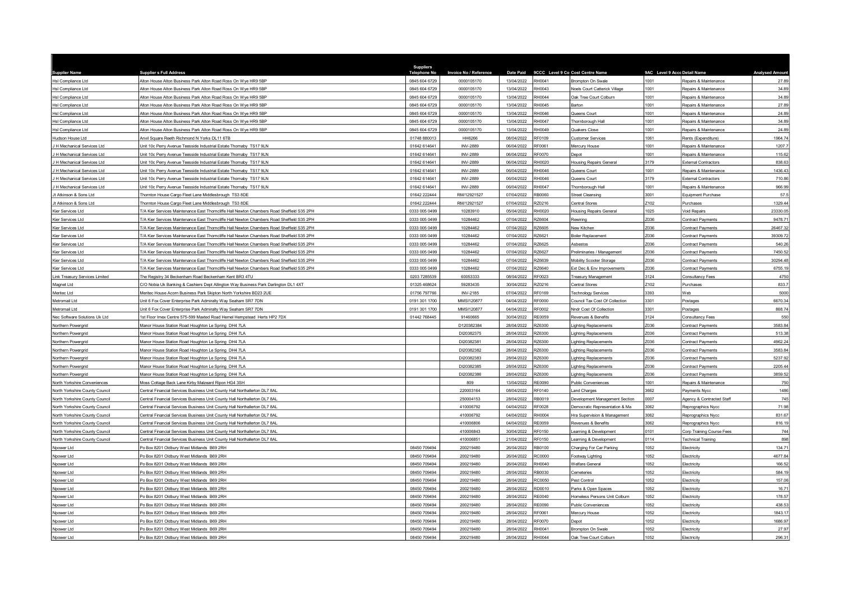| <b>Supplier Name</b>                 | <b>Suppliers Full Address</b>                                                              | Suppliers<br><b>Telephone No</b> | Invoice No / Reference | <b>Date Paid</b>         | 9CCC Level 9 Co Cost Centre Name |                                             | 9AC Level 9 Accc Detail Name |                             | <b>Analysed Amoun</b> |
|--------------------------------------|--------------------------------------------------------------------------------------------|----------------------------------|------------------------|--------------------------|----------------------------------|---------------------------------------------|------------------------------|-----------------------------|-----------------------|
| Hsl Compliance Ltd                   | Alton House Alton Business Park Alton Road Ross On Wye HR9 5BP                             | 0845 604 6729                    | 0000105170             | 13/04/2022               | RH0041                           | <b>Brompton On Swale</b>                    | 1001                         | Repairs & Maintenance       | 27.89                 |
| HsI Compliance Ltd                   | Alton House Alton Business Park Alton Road Ross On Wye HR9 5BP                             | 0845 604 6729                    | 0000105170             | 13/04/2022               | RH0043                           | Noels Court Catterick Village               | 1001                         | Repairs & Maintenance       | 34.89                 |
| HsI Compliance Ltd                   | Alton House Alton Business Park Alton Road Ross On Wye HR9 5BP                             | 0845 604 6729                    | 0000105170             | 13/04/2022               | H0044                            | Oak Tree Court Colburn                      | 1001                         | Repairs & Maintenance       | 34.89                 |
| HsI Compliance Ltd                   | Alton House Alton Business Park Alton Road Ross On Wye HR9 5BP                             | 0845 604 6729                    | 0000105170             | 13/04/2022               | RH0045                           | Barton                                      | 1001                         | Repairs & Maintenance       | 27.89                 |
| HsI Compliance Ltd                   | Alton House Alton Business Park Alton Road Ross On Wye HR9 5BP                             | 0845 604 6729                    | 0000105170             | 13/04/2022               | H0046                            | Queens Court                                | 1001                         | Repairs & Maintenance       | 24.89                 |
| HsI Compliance Ltd                   | Alton House Alton Business Park Alton Road Ross On Wye HR9 5BP                             | 0845 604 6729                    | 0000105170             | 13/04/2022               | RH0047                           | Thornborough Hall                           | 1001                         | Repairs & Maintenance       | 34.89                 |
| HsI Compliance Ltd                   | Alton House Alton Business Park Alton Road Ross On Wye HR9 5BP                             | 0845 604 6729                    | 0000105170             | 13/04/2022               | RH0049                           | Quakers Close                               | 1001                         | Repairs & Maintenance       | 24.89                 |
| Hudson House Ltd                     | Anvil Square Reeth Richmond N Yorks DL11 6TB                                               | 01748 880013                     | HH6266                 | 08/04/2022               | RF0109                           | Customer Services                           | 1061                         | Rents (Expenditure)         | 1964.74               |
| H Mechanical Services Ltd            | Jnit 10c Perry Avenue Teesside Industrial Estate Thornaby TS17 9LN                         | 01642 614641                     | <b>INV-2889</b>        | 06/04/2022               | RF0061                           | Mercury House                               | 1001                         | Repairs & Maintenance       | 1207.7                |
| H Mechanical Services Ltd            | Jnit 10c Perry Avenue Teesside Industrial Estate Thornaby TS17 9LN                         | 01642 614641                     | <b>INV-2889</b>        | 06/04/2022               | RF0070                           | Depot                                       | 1001                         | Repairs & Maintenance       | 115.62                |
| H Mechanical Services Ltd            | Jnit 10c Perry Avenue Teesside Industrial Estate Thornaby TS17 9LN                         | 01642 614641                     | <b>INV-2889</b>        | 06/04/2022               | RH0020                           | <b>Housing Repairs General</b>              | 3179                         | External Contractors        | 838.63                |
| H Mechanical Services Ltd            | Jnit 10c Perry Avenue Teesside Industrial Estate Thornaby TS17 9LN                         | 01642 614641                     | <b>INV-2889</b>        | 06/04/2022               | RH0046                           | Queens Court                                | 1001                         | Repairs & Maintenance       | 1436.43               |
| H Mechanical Services Ltd            | Init 10c Perry Avenue Teesside Industrial Estate Thornaby TS17 9LN                         | 01642 614641                     | <b>INV-2889</b>        | 06/04/2022               | 8H0046                           | Queens Court                                | 3179                         | <b>External Contractors</b> | 710.86                |
| H Mechanical Services Ltd            | Jnit 10c Perry Avenue Teesside Industrial Estate Thornaby TS17 9LN                         | 01642 614641                     | <b>INV-2889</b>        | 06/04/2022               | RH0047                           | Thornborough Hal                            | 1001                         | Repairs & Maintenance       | 966.99                |
| It Atkinson & Sons Ltd.              | Thornton House Cargo Fleet Lane Middlesbrough TS3 8DE                                      | 01642 222444                     | RM/12921527            | 07/04/2022               | RB0060                           | <b>Street Cleansing</b>                     | 3001                         | Equipment Purchase          | 57.5                  |
| It Atkinson & Sons Ltd               | Thornton House Cargo Fleet Lane Middlesbrough TS3 8DE                                      | 01642 222444                     | RM/12921527            | 07/04/2022               | RZ0216                           | Central Stores                              | Z <sub>102</sub>             | Purchases                   | 1329.44               |
|                                      |                                                                                            |                                  |                        |                          |                                  |                                             | 1025                         |                             |                       |
| Kier Services Ltd                    | T/A Kier Services Maintenance East Thorncliffe Hall Newton Chambers Road Sheffield S35 2PH | 0333 005 0499                    | 10283910               | 05/04/2022               | RH0020                           | <b>Housing Repairs General</b>              |                              | Void Repairs                | 23330.05              |
| Kier Services Ltd                    | T/A Kier Services Maintenance East Thorncliffe Hall Newton Chambers Road Sheffield S35 2PH | 0333 005 0499                    | 10284462               | 07/04/2022               | Z6604                            | Rewirina                                    | Z036                         | <b>Contract Payments</b>    | 9478.71               |
| Kier Services Ltd                    | T/A Kier Services Maintenance East Thorncliffe Hall Newton Chambers Road Sheffield S35 2PH | 0333 005 0499                    | 10284462               | 07/04/2022               | R76605                           | New Kitchen                                 | Z036                         | Contract Payments           | 26467.32              |
| Kier Services Ltd                    | T/A Kier Services Maintenance East Thorncliffe Hall Newton Chambers Road Sheffield S35 2PH | 0333 005 0499                    | 10284462               | 07/04/2022               | <b>RZ6621</b>                    | Boiler Replacement                          | Z036                         | Contract Payments           | 39309.72              |
| <b>Kier Services Ltd</b>             | 7A Kier Services Maintenance East Thorncliffe Hall Newton Chambers Road Sheffield S35 2PH  | 0333 005 0499                    | 10284462               | 07/04/2022               | RZ6625                           | Asbestos                                    | Z036                         | Contract Payments           | 540.26                |
| Kier Services Ltd                    | 7A Kier Services Maintenance East Thorncliffe Hall Newton Chambers Road Sheffield S35 2PH  | 0333 005 0499                    | 10284462               | 07/04/2022               | <b>Z6627</b>                     | Preliminaries / Management                  | Z036                         | Contract Payments           | 7450.52               |
| Kier Services Ltd                    | T/A Kier Services Maintenance East Thorncliffe Hall Newton Chambers Road Sheffield S35 2PH | 0333 005 0499                    | 10284462               | 07/04/2022               | RZ6639                           | Mobility Scooter Storage                    | Z036                         | Contract Payments           | 30294.48              |
| <b>Kier Services Ltd</b>             | T/A Kier Services Maintenance East Thorncliffe Hall Newton Chambers Road Sheffield S35 2PH | 0333 005 0499                    | 10284462               | 07/04/2022               | RZ6640                           | Ext Dec & Env Improvements                  | Z036                         | Contract Payments           | 6755.19               |
| Link Treasury Services Limited       | The Registry 34 Beckenham Road Beckenham Kent BR3 4TU                                      | 0203 7285539                     | 60053333               | 08/04/2022               | RF0023                           | <b>Treasury Management</b>                  | 3124                         | Consultancy Fees            | 4750                  |
| Magnet Ltd                           | C/O Nobia Uk Banking & Cashiers Dept Allington Way Business Park Darlington DL1 4XT        | 01325 468624                     | 59283435               | 30/04/2022               | Z0216                            | Central Stores                              | Z102                         | Purchases                   | 833.7                 |
| Meritec Ltd                          | Meritec House Acorn Business Park Skipton North Yorkshire BD23 2UE                         | 01756 797766                     | INV-2185               | 07/04/2022               | RF0169                           | <b>Technology Services</b>                  | 3393                         | Web                         | 5000                  |
| Aetromail Ltd                        | Jnit 6 Fox Cover Enterprise Park Admiralty Way Seaham SR7 7DN                              | 0191 301 1700                    | MMSI120877             | 04/04/2022               | RF0000                           | Council Tax Cost Of Collection              | 3301                         | Postage                     | 6670.34               |
| Metromail Ltd                        | Jnit 6 Fox Cover Enterprise Park Admiralty Way Seaham SR7 7DN                              | 0191 301 1700                    | MMSI120877             | 04/04/2022               | RF0002                           | Nndr Cost Of Collection                     | 3301                         | Postages                    | 868.74                |
| Nec Software Solutions Uk Ltd        | Ist Floor Imex Centre 575-599 Maxted Road Hemel Hempstead Herts HP2 7DX                    | 01442 768445                     | 91460665               | 30/04/2022               | RE0059                           | Revenues & Benefits                         | 3124                         | Consultancy Fees            | 550                   |
| Northern Powergrid                   | Manor House Station Road Houghton Le Spring DH4 7LA                                        |                                  | D120382384             | 28/04/2022               | RZ6300                           | Lighting Replacements                       | Z036                         | Contract Payments           | 3583.84               |
| Northern Powergrid                   | Manor House Station Road Houghton Le Spring DH4 7LA                                        |                                  | DI20382375             | 28/04/2022               | <b>RZ6300</b>                    | Lighting Replacements                       | Z036                         | Contract Payments           | 513.38                |
| Northern Powergrid                   | Manor House Station Road Houghton Le Spring DH4 7LA                                        |                                  | DI20382381             | 28/04/2022               | RZ6300                           | <b>Lighting Replacements</b>                | Z036                         | Contract Payments           | 4962.24               |
| Northern Powergrid                   | Manor House Station Road Houghton Le Spring DH4 7LA                                        |                                  | DI20382382             | 28/04/2022               | RZ6300                           | Lighting Replacements                       | Z036                         | Contract Payments           | 3583.84               |
| Northern Powergrid                   | Manor House Station Road Houghton Le Spring DH4 7LA                                        |                                  | DI20382383             | 28/04/2022               | RZ6300                           | Lighting Replacements                       | Z036                         | Contract Payments           | 5237.92               |
| Northern Powergrid                   | Manor House Station Road Houghton Le Spring DH4 7LA                                        |                                  | DI20382385             | 28/04/2022               | <b>Z6300</b>                     | Lighting Replacements                       | Z036                         | Contract Payments           | 2205.44               |
| Northern Powerarid                   | Manor House Station Road Houghton Le Spring DH4 7LA                                        |                                  | DI20382386             | 28/04/2022               | RZ6300                           | <b>Lighting Replacements</b>                | Z036                         | <b>Contract Payments</b>    | 3859.52               |
| North Yorkshire Conveniences         | Moss Cottage Back Lane Kirby Malzeard Ripon HG4 3SH                                        |                                  | 809                    | 13/04/2022               | RE0090                           | <b>Public Conveniences</b>                  | 1001                         | Repairs & Maintenance       | 750                   |
| North Yorkshire County Council       | Central Financial Services Business Unit County Hall Northallerton DL7 8AL                 |                                  | 220003164              | 08/04/2022               | RF0140                           | Land Charges                                | 3662                         | Payments Nycc               | 1486                  |
| <b>North Yorkshire County Counci</b> | Central Financial Services Business Unit County Hall Northallerton DL7 8AL                 |                                  | 250004153              | 28/04/2022               | <b>B0019</b>                     | Development Management Section              | 0007                         | Agency & Contracted Staff   | 745                   |
| North Yorkshire County Council       | Central Financial Services Business Unit County Hall Northallerton DL7 8AL                 |                                  | 410006792              | 04/04/2022               | RF0028                           | Democratic Representation & Ma              | 3062                         | Reprographics Nycc          | 71.98                 |
| North Yorkshire County Council       | Central Financial Services Business Unit County Hall Northallerton DL7 8AL                 |                                  | 410006792              | 04/04/2022               | RH0004                           | Hra Supervision & Management                | 3062                         | Reprographics Nycc          | 831.67                |
| North Yorkshire County Council       | Central Financial Services Business Unit County Hall Northallerton DL7 8AI                 |                                  | 410006806              | 04/04/2022               | RE0059                           | Revenues & Benefits                         | 3062                         | Reprographics Nyco          | 816.19                |
| North Yorkshire County Council       | Central Financial Services Business Unit County Hall Northallerton DL7 8AL                 |                                  | 410006843              | 30/04/2022               | RF0150                           | earning & Development                       | 0101                         | Corp Training Course Fees   | 744                   |
| North Yorkshire County Council       | Central Financial Services Business Unit County Hall Northallerton DL7 8AL                 |                                  | 410006851              | 21/04/2022               | RF0150                           | earning & Development                       | 0114                         | Technical Training          | 898                   |
| Npower Ltd                           | O Box 8201 Oldbury West Midlands B69 2RH                                                   | 08450 709494                     | 200219480              | 26/04/2022               | RB0100                           | Charging For Car Parking                    | 1052                         | Electricity                 | 134.71                |
| <b>Vpower Ltd</b>                    | Po Box 8201 Oldbury West Midlands B69 2RH                                                  | 08450 709494                     | 200219480              | 26/04/2022               | <b>C0000</b>                     | Footway Lighting                            | 1052                         | Electricity                 | 4677.84               |
| Npower Ltd                           | O Box 8201 Oldbury West Midlands B69 2RH                                                   | 08450 709494                     | 200219480              | 26/04/2022               | CA00H                            | Welfare General                             | 1052                         | Electricity                 | 166.52                |
| Npower Ltd                           | Po Box 8201 Oldbury West Midlands B69 2RH                                                  | 08450 709494                     | 200219480              | 28/04/2022               | RB0030                           | Cemeteries                                  | 1052                         | Electricity                 | 584.19                |
| Npower Ltd                           | Po Box 8201 Oldbury West Midlands B69 2RH                                                  | 08450 709494                     | 200219480              | 28/04/2022               | <b>RC0050</b>                    | Pest Control                                | 1052                         | Electricity                 | 157.06                |
| Npower Ltd                           | Po Box 8201 Oldbury West Midlands B69 2RH                                                  | 08450 709494                     | 200219480              | 28/04/2022               | RD0010                           | Parks & Open Spaces                         | 1052                         | Electricity                 | 16.71                 |
| Npower Ltd                           | Po Box 8201 Oldbury West Midlands B69 2RH                                                  | 08450 709494                     | 200219480              | 28/04/2022               | RE0040                           | Homeless Persons Unit Colburn               | 1052                         | Electricity                 | 178.57                |
| Npower Ltd                           | O Box 8201 Oldbury West Midlands B69 2RH                                                   | 08450 709494                     | 200219480              | 28/04/2022               | RE0090                           | Public Conveniences                         | 1052                         | Electricity                 | 438.53                |
| Noower Ltd                           | Po Box 8201 Oldbury West Midlands B69 2RH                                                  | 08450 709494                     | 200219480              | 28/04/2022               | RF0061                           | Mercury House                               | 1052                         | Electricity                 | 1843.17               |
| Npower Ltd                           | Po Box 8201 Oldbury West Midlands B69 2RH                                                  | 08450 709494                     | 200219480              | 28/04/2022               | E0070                            | Depot                                       | 1052                         | Electricity                 | 1686.97               |
|                                      |                                                                                            | 08450 709494                     | 200219480              |                          | RH0041                           |                                             | 1052                         | Electricity                 | 27.97                 |
| Npower Ltd<br>Npower Ltd             | Po Box 8201 Oldbury West Midlands B69 2RH<br>Po Box 8201 Oldbury West Midlands B69 2RH     | 08450 709494                     | 200219480              | 28/04/2022<br>28/04/2022 | RH0044                           | Brompton On Swale<br>Oak Tree Court Colburn | 1052                         | Electricity                 | 296.31                |
|                                      |                                                                                            |                                  |                        |                          |                                  |                                             |                              |                             |                       |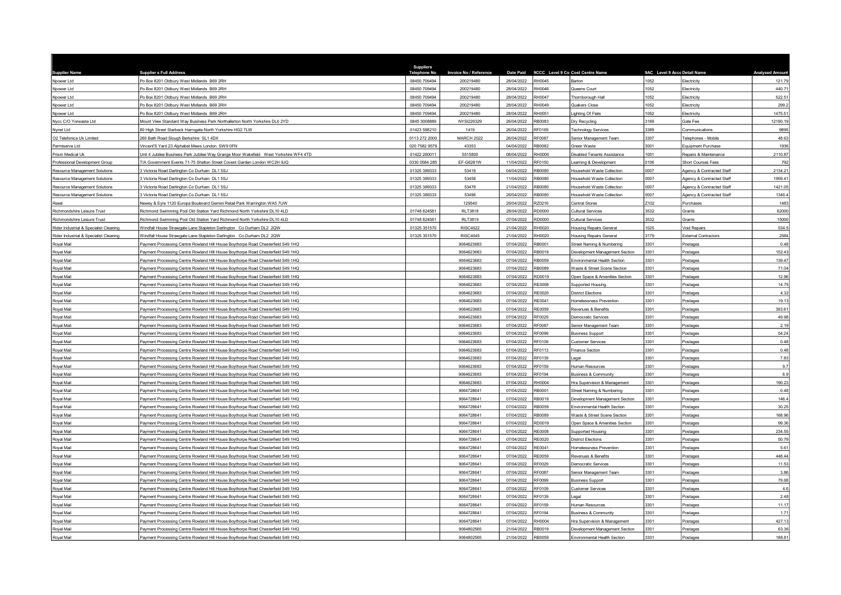| <b>Supplier Name</b>                   | <b>Supplier s Full Address</b>                                                        | <b>Suppliers</b><br><b>Telephone No</b> | Invoice No / Reference | <b>Date Paid</b><br>9CCC Level 9 Co Cost Centre Name |                                     | 9AC Level 9 Accc Detail Name |                           | <b>Analysed Amount</b> |
|----------------------------------------|---------------------------------------------------------------------------------------|-----------------------------------------|------------------------|------------------------------------------------------|-------------------------------------|------------------------------|---------------------------|------------------------|
| Npower Ltd                             | Po Box 8201 Oldbury West Midlands B69 2RH                                             | 08450 709494                            | 200219480              | RH0045<br>28/04/2022                                 | <b>Barton</b>                       | 1052                         | Electricity               | 121.79                 |
| Npower Ltd                             | Po Box 8201 Oldbury West Midlands B69 2RH                                             | 08450 709494                            | 200219480              | 28/04/2022<br>RH0046                                 | Queens Court                        | 1052                         | Electricity               | 440.71                 |
| Npower Ltd                             | O Box 8201 Oldbury West Midlands B69 2RH                                              | 08450 709494                            | 200219480              | 28/04/2022<br>RH0047                                 | Thornborough Hall                   | 1052                         | Electricity               | 522.51                 |
| Npower Ltd                             | Po Box 8201 Oldbury West Midlands B69 2RH                                             | 08450 709494                            | 200219480              | 28/04/2022<br>RH0049                                 | Quakers Close                       | 1052                         | Electricity               | 299.2                  |
| Noower Ltd                             | O Box 8201 Oldbury West Midlands B69 2RH                                              | 08450 709494                            | 200219480              | 28/04/2022<br>RH0051                                 | ighting Of Flats                    | 1052                         | Electricity               | 1475.51                |
| Nycc C/O Yorwaste Ltd                  | Mount View Standard Way Business Park Northallerton North Yorkshire DL6 2YD           | 0845 3008889                            | NYSI226329             | 26/04/2022<br>RB0083                                 | Dry Recycling                       | 3169                         | Gate Fee                  | 12190.19               |
| Nynet Ltd                              | 80 High Street Starbeck Harrogate North Yorkshire HG2 7LW                             | 01423 59821                             | 1419                   | 26/04/2022<br>RF0169                                 | <b>Technology Services</b>          | 3389                         | Communications            | 9895                   |
| O2 Telefonica Uk Limited               | 260 Bath Road Slough Berkshire SL1 4DX                                                | 0113 272 2000                           | <b>MARCH 2022</b>      | 26/04/2022<br>RF0087                                 | Senior Management Team              | 3307                         | Telephones - Mobile       | 48.63                  |
| Permiserve Ltd                         | incent'S Yard 23 Alphabet Mews London SW9 0FN                                         | 020 7582 9579                           | 43353                  | 04/04/2022<br>RB0082                                 | <b>Green Waste</b>                  | 3001                         | Equipment Purchase        | 1936                   |
| Prism Medical Uk                       | Unit 4 Jubilee Business Park Jubilee Way Grange Moor Wakefield West Yorkshire WF4 4TD | 01422 260011                            | 5515800                | 08/04/2022<br>RH0006                                 | Disabled Tenants Assistance         | 1001                         | Repairs & Maintenance     | 2110.87                |
| Professional Development Group         | 7/A Government Events 71-75 Shelton Street Covent Garden London WC2H 9JQ              | 0330 0584 28                            | EF-G6281W              | 11/04/2022<br>RF0150                                 | earning & Development               | 0106                         | <b>Short Courses Fees</b> | 792                    |
| Resource Management Solutions          | Victoria Road Darlington Co Durham DL1 5SJ                                            | 01325 389333                            | 53416                  | 04/04/2022<br>RB0080                                 | Household Waste Collection          | 0007                         | Agency & Contracted Staff | 2134.21                |
| Resource Management Solutions          | Victoria Road Darlington Co Durham DL1 5SJ                                            | 01325 389333                            | 53456                  | 11/04/2022<br>RB0080                                 | <b>Household Waste Collection</b>   | 0007                         | Agency & Contracted Staff | 1959.41                |
| Resource Management Solutions          | 3 Victoria Road Darlington Co Durham DL1 5SJ                                          | 01325 389333                            | 53476                  | 21/04/2022<br>RB0080                                 | <b>Household Waste Collection</b>   | 0007                         | Agency & Contracted Staff | 1421.05                |
| Resource Management Solutions          | Victoria Road Darlington Co Durham DL1 5SJ                                            | 01325 389333                            | 53496                  | 26/04/2022<br>RB0080                                 | Household Waste Collection          | 0007                         | Agency & Contracted Staff | 1346.4                 |
| Rexel                                  | Vewey & Eyre 1120 Europa Boulevard Gemini Retail Park Warrington WA5 7UW              |                                         | 129540                 | 26/04/2022<br>RZ0216                                 | Central Stores                      | Z <sub>102</sub>             | Purchases                 | 1483                   |
| Richmondshire Leisure Trust            | Richmond Swimming Pool Old Station Yard Richmond North Yorkshire DL10 4LD             | 01748 82458                             | <b>RLT3818</b>         | 28/04/2022<br>RD0000                                 | Cultural Services                   | 3532                         | Grants                    | 62000                  |
| Richmondshire Leisure Trust            | Richmond Swimming Pool Old Station Yard Richmond North Yorkshire DL10 4LD             | 01748 824581                            | <b>RLT3819</b>         | 07/04/2022<br>RD0000                                 | <b>Cultural Services</b>            | 3532                         | Grants                    | 15000                  |
| Rider Industrial & Specialist Cleaning | Vindfall House Strawgate Lane Stapleton Darlington Co Durham DL2 2QW                  | 01325 351570                            | <b>RISC4022</b>        | 21/04/2022<br>RH0020                                 | <b>Housing Repairs General</b>      | 1025                         | Void Repairs              | 534.5                  |
| Rider Industrial & Specialist Cleaning | Vindfall House Strawgate Lane Stapleton Darlington Co Durham DL2 2QW                  | 01325 351570                            | <b>RISC4045</b>        | 21/04/2022<br>RH0020                                 | <b>Housing Repairs General</b>      | 3179                         | External Contractors      | 2584                   |
| Royal Mail                             | Payment Processing Centre Rowland Hill House Boythorpe Road Chesterfield S49 1HQ      |                                         | 9064623683             | 07/04/2022<br>RB0001                                 | Street Naming & Numbering           | 3301                         | Postages                  | 0.48                   |
| Royal Mail                             | Payment Processing Centre Rowland Hill House Boythorpe Road Chesterfield S49 1HQ      |                                         | 9064623683             | 07/04/2022<br>RB0019                                 | Development Management Section      | 3301                         | Postages                  | 152.43                 |
| Royal Mail                             | Payment Processing Centre Rowland Hill House Boythorpe Road Chesterfield S49 1HQ      |                                         | 9064623683             | 07/04/2022<br>RB0059                                 | Environmental Health Section        | 3301                         | Postages                  | 139.47                 |
| Royal Mail                             | Payment Processing Centre Rowland Hill House Boythorpe Road Chesterfield S49 1HQ      |                                         | 9064623683             | 07/04/2022<br>RB0089                                 | Waste & Street Scene Section        | 3301                         | Postages                  | 71.04                  |
| Royal Mail                             | Payment Processing Centre Rowland Hill House Boythorpe Road Chesterfield S49 1HQ      |                                         | 9064623683             | 07/04/2022<br>RD0019                                 | Open Space & Amenities Section      | 3301                         | Postages                  | 12.96                  |
| Royal Mail                             | Payment Processing Centre Rowland Hill House Boythorpe Road Chesterfield S49 1HQ      |                                         | 9064623683             | 07/04/2022<br>RE0008                                 | Supported Housing                   | 3301                         | Postages                  | 14.75                  |
| Royal Mail                             | Payment Processing Centre Rowland Hill House Boythorpe Road Chesterfield S49 1HQ      |                                         | 9064623683             | 07/04/2022<br>RE0020                                 | <b>District Elections</b>           | 3301                         | Postages                  | 4.32                   |
| Royal Mail                             | Payment Processing Centre Rowland Hill House Boythorpe Road Chesterfield S49 1HQ      |                                         | 9064623683             | 07/04/2022<br>RE0041                                 | Homelessness Prevention             | 3301                         | Postages                  | 19.13                  |
| Royal Mail                             | Payment Processing Centre Rowland Hill House Boythorpe Road Chesterfield S49 1HQ      |                                         | 9064623683             | 07/04/2022<br>RE0059                                 | Revenues & Benefits                 | 3301                         | Postages                  | 393.61                 |
| Royal Mail                             | Payment Processing Centre Rowland Hill House Boythorpe Road Chesterfield S49 1HQ      |                                         | 9064623683             | 07/04/2022<br>RF0029                                 | Democratic Services                 | 3301                         | Postages                  | 49.98                  |
| Royal Mail                             | Payment Processing Centre Rowland Hill House Boythorpe Road Chesterfield S49 1HQ      |                                         | 9064623683             | 07/04/2022<br>RF0087                                 | Senior Management Team              | 3301                         | Postages                  | 2.19                   |
| Royal Mail                             | Payment Processing Centre Rowland Hill House Boythorpe Road Chesterfield S49 1HQ      |                                         | 9064623683             | 07/04/2022<br>RF0099                                 | <b>Business Support</b>             | 3301                         | <b>Postage</b>            | 54.24                  |
| Royal Mail                             | Payment Processing Centre Rowland Hill House Boythorpe Road Chesterfield S49 1HQ      |                                         | 9064623683             | 07/04/2022<br>RF0109                                 | Customer Services                   | 3301                         | Postages                  | 0.48                   |
| Royal Mail                             | Payment Processing Centre Rowland Hill House Boythorpe Road Chesterfield S49 1HQ      |                                         | 9064623683             | 07/04/2022<br>RF0113                                 | Finance Section                     | 3301                         | Postage                   | 0.48                   |
| Royal Mail                             | Payment Processing Centre Rowland Hill House Boythorpe Road Chesterfield S49 1HQ      |                                         | 9064623683             | 07/04/2022<br>RF0139                                 | Legal                               | 3301                         | Postages                  | 7.83                   |
| Roval Mail                             | Payment Processing Centre Rowland Hill House Boythorpe Road Chesterfield S49 1HQ      |                                         | 9064623683             | 07/04/2022<br>RF0159                                 | Human Resources                     | 3301                         | Postage                   | 9.7                    |
| Royal Mail                             | Payment Processing Centre Rowland Hill House Boythorpe Road Chesterfield S49 1HQ      |                                         | 9064623683             | 07/04/2022<br>RF0194                                 | <b>Business &amp; Community</b>     | 3301                         | Postages                  | 6.9                    |
| Royal Mail                             | Payment Processing Centre Rowland Hill House Boythorpe Road Chesterfield S49 1HQ      |                                         | 9064623683             | 07/04/2022<br>RH0004                                 | Hra Supervision & Management        | 3301                         | Postages                  | 190.23                 |
| Roval Mail                             | Payment Processing Centre Rowland Hill House Boythorpe Road Chesterfield S49 1HQ      |                                         | 9064728641             | 07/04/2022<br>RB0001                                 | Street Naming & Numbering           | 3301                         | Postages                  | 0.48                   |
| Royal Mail                             | Payment Processing Centre Rowland Hill House Boythorpe Road Chesterfield S49 1HQ      |                                         | 9064728641             | 07/04/2022<br>RB0019                                 | Development Management Section      | 3301                         | Postages                  | 146.4                  |
| Royal Mail                             | Payment Processing Centre Rowland Hill House Boythorpe Road Chesterfield S49 1HQ      |                                         | 9064728641             | 07/04/2022<br>RB0059                                 | Environmental Health Section        | 3301                         | Postages                  | 30.25                  |
| Royal Mail                             | Payment Processing Centre Rowland Hill House Boythorpe Road Chesterfield S49 1HQ      |                                         | 9064728641             | 07/04/2022<br>RB0089                                 | Waste & Street Scene Section        | 3301                         | Postages                  | 168.96                 |
| Royal Mail                             | Payment Processing Centre Rowland Hill House Boythorpe Road Chesterfield S49 1HQ      |                                         | 9064728641             | 07/04/2022<br>RD0019                                 | Open Space & Amenities Section      | 3301                         | Postages                  | 99.36                  |
| Royal Mail                             | Payment Processing Centre Rowland Hill House Boythorpe Road Chesterfield S49 1HQ      |                                         | 9064728641             | 07/04/2022<br><b>RF0008</b>                          | Supported Housing                   | 3301                         | Postages                  | 234.55                 |
| Royal Mail                             | Payment Processing Centre Rowland Hill House Boythorpe Road Chesterfield S49 1HQ      |                                         | 9064728641             | 07/04/2022<br>RE0020                                 | <b>District Elections</b>           | 3301                         | Postages                  | 50.79                  |
| Royal Mail                             | Payment Processing Centre Rowland Hill House Boythorpe Road Chesterfield S49 1HQ      |                                         | 9064728641             | 07/04/2022<br>RF0041                                 | Homelessness Prevention             | 3301                         | Postages                  | 5.61                   |
| Royal Mail                             | Payment Processing Centre Rowland Hill House Boythorpe Road Chesterfield S49 1HQ      |                                         | 9064728641             | 07/04/2022<br><b>RE0059</b>                          | Revenues & Benefits                 | 3301                         | Postages                  | 448.44                 |
| Royal Mail                             | Payment Processing Centre Rowland Hill House Boythorpe Road Chesterfield S49 1HQ      |                                         | 9064728641             | 07/04/2022<br>RF0029                                 | Jemocratic Services                 | 3301                         | Postages                  | 11.53                  |
| Royal Mail                             | Payment Processing Centre Rowland Hill House Boythorpe Road Chesterfield S49 1HQ      |                                         | 9064728641             | 07/04/2022<br><b>RF0087</b>                          | Senior Management Team              | 3301                         | Postages                  | 3.86                   |
| Royal Mail                             | Payment Processing Centre Rowland Hill House Boythorpe Road Chesterfield S49 1HQ      |                                         | 9064728641             | 07/04/2022<br>RF0099                                 | <b>Business Support</b>             | 3301                         | Postages                  | 79.68                  |
| Royal Mail                             | Payment Processing Centre Rowland Hill House Boythorpe Road Chesterfield S49 1HQ      |                                         | 9064728641             | 07/04/2022<br>RF0109                                 | Customer Services                   | 3301                         | Postages                  | 46                     |
| Royal Mail                             | Payment Processing Centre Rowland Hill House Boythorpe Road Chesterfield S49 1HQ      |                                         | 9064728641             | 07/04/2022<br>RF0139                                 | egal                                | 3301                         | Postages                  | 2.48                   |
| Royal Mail                             | Payment Processing Centre Rowland Hill House Boythorpe Road Chesterfield S49 1HQ      |                                         | 9064728641             | 07/04/2022<br>RF0159                                 | Human Resources                     | 3301                         | Postages                  | 11.17                  |
| Royal Mail                             | Payment Processing Centre Rowland Hill House Boythorpe Road Chesterfield S49 1HQ      |                                         | 9064728641             | 07/04/2022<br>RF0194                                 | <b>Business &amp; Community</b>     | 3301                         | Postages                  | 1.71                   |
| Royal Mail                             | Payment Processing Centre Rowland Hill House Boythorpe Road Chesterfield S49 1HQ      |                                         | 9064728641             | 07/04/2022<br>RH0004                                 | Hra Supervision & Management        | 3301                         | Postages                  | 427.13                 |
| Royal Mail                             | Payment Processing Centre Rowland Hill House Boythorpe Road Chesterfield S49 1HQ      |                                         | 9064802565             | 21/04/2022<br>RB0019                                 | Development Management Section      | 3301                         | Postages                  | 63.36                  |
| Royal Mail                             | Payment Processing Centre Rowland Hill House Boythorpe Road Chesterfield S49 1HQ      |                                         | 9064802565             | 21/04/2022<br>RB0059                                 | <b>Environmental Health Section</b> | 3301                         | Postages                  | 188.81                 |
|                                        |                                                                                       |                                         |                        |                                                      |                                     |                              |                           |                        |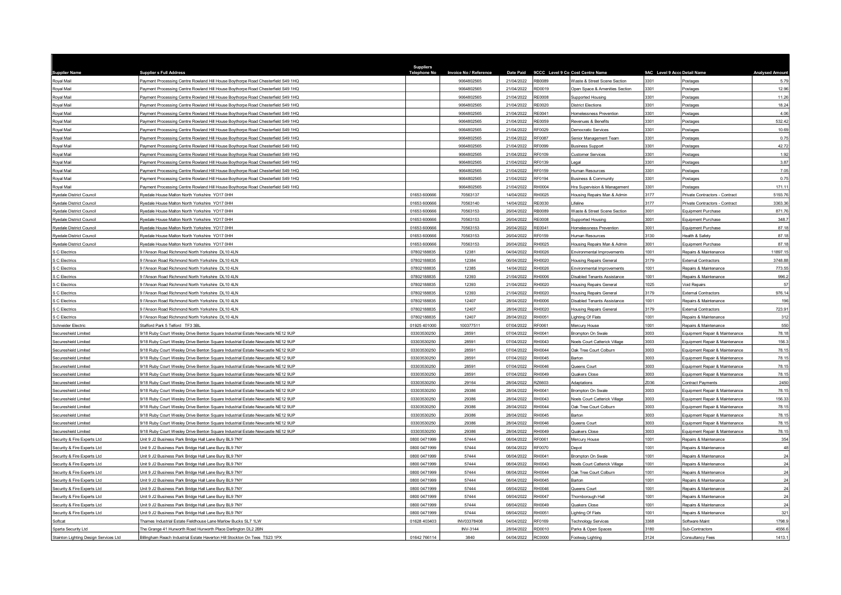| <b>Supplier Name</b>                  | <b>Suppliers Full Address</b>                                                    | Suppliers<br>Telephone No    | Invoice No / Reference | Date Paid                |                  | 9CCC Level 9 Co Cost Centre Name                       | 9AC Level 9 Accc Detail Name |                                                | <b>Analysed Amoun</b> |
|---------------------------------------|----------------------------------------------------------------------------------|------------------------------|------------------------|--------------------------|------------------|--------------------------------------------------------|------------------------------|------------------------------------------------|-----------------------|
| Royal Mail                            | Payment Processing Centre Rowland Hill House Boythorpe Road Chesterfield S49 1HQ |                              | 9064802565             | 21/04/2022               | RB0089           | Waste & Street Scene Section                           | 3301                         | Postages                                       | 5.79                  |
| Royal Mail                            | Payment Processing Centre Rowland Hill House Boythorpe Road Chesterfield S49 1HQ |                              | 9064802565             | 21/04/2022               | RD0019           | Open Space & Amenities Section                         | 3301                         | Postages                                       | 12.96                 |
| Royal Mail                            | Payment Processing Centre Rowland Hill House Boythorpe Road Chesterfield S49 1HQ |                              | 9064802565             | 21/04/2022               | <b>RE0008</b>    | Supported Housing                                      | 3301                         | Postages                                       | 11.26                 |
| Royal Mail                            | Payment Processing Centre Rowland Hill House Boythorpe Road Chesterfield S49 1HQ |                              | 9064802565             | 21/04/2022               | RE0020           | District Flections                                     | 3301                         | Postages                                       | 18.24                 |
| <b>Royal Mail</b>                     | Payment Processing Centre Rowland Hill House Boythorpe Road Chesterfield S49 1HQ |                              | 9064802565             | 21/04/2022               | RE0041           | Homelessness Prevention                                | 3301                         | Postages                                       | 4.06                  |
| Roval Mail                            | Payment Processing Centre Rowland Hill House Boythorpe Road Chesterfield S49 1HQ |                              | 9064802565             | 21/04/2022               | RE0059           | Revenues & Benefits                                    | 3301                         | Postages                                       | 532.42                |
| Royal Mail                            | Payment Processing Centre Rowland Hill House Boythorpe Road Chesterfield S49 1HQ |                              | 9064802565             | 21/04/2022               | RF0029           | Democratic Services                                    | 3301                         | Postages                                       | 10.69                 |
| Royal Mail                            | Payment Processing Centre Rowland Hill House Boythorpe Road Chesterfield S49 1HQ |                              | 9064802565             | 21/04/2022               | RF0087           | Senior Management Team                                 | 3301                         | Postages                                       | 0.75                  |
| <b>Royal Mail</b>                     | ayment Processing Centre Rowland Hill House Boythorpe Road Chesterfield S49 1HQ  |                              | 9064802565             | 21/04/2022               | <b>RE0099</b>    | <b>Business Support</b>                                | 3301                         | Postage                                        | 42.72                 |
| Royal Mail                            | Payment Processing Centre Rowland Hill House Boythorpe Road Chesterfield S49 1HQ |                              | 9064802565             | 21/04/2022               | RF0109           | Customer Services                                      | 3301                         | Postages                                       | 1.92                  |
| Royal Mail                            | Payment Processing Centre Rowland Hill House Boythorpe Road Chesterfield S49 1HQ |                              | 9064802565             | 21/04/2022               | RF0139           | egal                                                   | 3301                         | Postages                                       | 3.87                  |
| Royal Mail                            | Payment Processing Centre Rowland Hill House Boythorpe Road Chesterfield S49 1HQ |                              | 9064802565             | 21/04/2022               | RF0159           | Human Resources                                        | 3301                         | Postages                                       | 7.05                  |
| Roval Mail                            | Payment Processing Centre Rowland Hill House Boythorpe Road Chesterfield S49 1HQ |                              | 9064802565             | 21/04/2022               | RF0194           | <b>Business &amp; Community</b>                        | 3301                         | Postages                                       | 0.75                  |
| Royal Mail                            | Payment Processing Centre Rowland Hill House Boythorpe Road Chesterfield S49 1HQ |                              | 9064802565             | 21/04/2022               | RH0004           | Hra Supervision & Management                           | 3301                         | Postages                                       | 171.11                |
| <b>Rvedale District Council</b>       | Rvedale House Malton North Yorkshire YO17 0HH                                    | 01653 60066                  | 70563137               | 14/04/2022               | RH0025           | Housing Repairs Man & Admin                            | 3177                         | Private Contractors - Contract                 | 5193.76               |
| Rvedale District Council              | Ryedale House Malton North Yorkshire YO17 0HH                                    | 01653 600666                 | 70563140               | 14/04/2022               | RE0030           | Lifeline                                               | 3177                         | Private Contractors - Contract                 | 3363.36               |
| Ryedale District Council              | Ryedale House Malton North Yorkshire YO17 0HH                                    | 01653 600666                 | 70563153               | 26/04/2022               | <b>RB0089</b>    | Waste & Street Scene Section                           | 3001                         | Equipment Purchase                             | 871.76                |
| Rvedale District Council              | Ryedale House Malton North Yorkshire YO17 0HH                                    | 01653 600666                 | 70563153               | 26/04/2022               | <b>RE0008</b>    | Supported Housing                                      | 3001                         | Equipment Purchase                             | 348.7                 |
| Ryedale District Council              | Ryedale House Malton North Yorkshire YO17 0HH                                    | 01653 600666                 | 70563153               | 26/04/2022               | RE0041           | Homelessness Prevention                                | 3001                         | Equipment Purchase                             | 87.18                 |
| Ryedale District Council              | Ryedale House Malton North Yorkshire YO17 0HH                                    | 01653 600666                 | 70563153               | 26/04/2022               | RF0159           | Human Resources                                        | 3130                         | Health & Safety                                | 87.18                 |
| Ryedale District Council              | Ryedale House Malton North Yorkshire YO17 0HH                                    | 01653 600666                 | 70563153               | 26/04/2022               | RH0025           | Housing Repairs Man & Admin                            | 3001                         | Equipment Purchase                             | 87.18                 |
| S C Flectrics                         | FAnson Road Richmond North Yorkshire DJ 10.4LN                                   | 07802188835                  | 12381                  | 04/04/2022               | RH0026           | Environmental Improvements                             | 1001                         | Repairs & Maintenance                          | 11897.15              |
| S C Electrics                         | 9 l'Anson Road Richmond North Yorkshire DL10 4LN                                 | 07802188835                  | 12384                  | 06/04/2022               | RH0020           | <b>Housing Repairs General</b>                         | 3179                         | <b>External Contractors</b>                    | 3748.88               |
| S C Electrics                         | 9 l'Anson Road Richmond North Yorkshire DI 10 41 N                               | 07802188835                  | 12385                  | 14/04/2022               | RH0026           | <b>Environmental Improvements</b>                      | 1001                         | Repairs & Maintenance                          | 773.55                |
| C Electrics                           | FAnson Road Richmond North Yorkshire DL10 4LN                                    | 07802188835                  | 12393                  | 21/04/2022               | <b>RH0006</b>    | Disabled Tenants Assistance                            | 1001                         | Repairs & Maintenance                          | 996.2                 |
| S C Electrics                         | 9 l'Anson Road Richmond North Yorkshire DL10 4LN                                 | 07802188835                  | 12393                  | 21/04/2022               | RH0020           | <b>Housing Repairs General</b>                         | 1025                         | <b>Void Repairs</b>                            | 57                    |
| C Flectrics                           | 9 l'Anson Road Richmond North Yorkshire DI 10 4LN                                | 07802188835                  | 12393                  | 21/04/2022               | RH0020           | <b>Housing Repairs General</b>                         | 3179                         | <b>External Contractors</b>                    | 976.14                |
| S C Electrics                         | 9 l'Anson Road Richmond North Yorkshire DL10 4LN                                 | 07802188835                  | 12407                  | 28/04/2022               | <b>RH0006</b>    | Disabled Tenants Assistance                            | 1001                         | Repairs & Maintenance                          | 196                   |
| C Electrics                           | 9 l'Anson Road Richmond North Yorkshire DI 10 41 N                               | 07802188835                  | 12407                  | 28/04/2022               | RH0020           | <b>Housing Repairs General</b>                         | 3179                         | <b>External Contractors</b>                    | 723.91                |
| S C Electrics                         | I'Anson Road Richmond North Yorkshire DL10 4LN                                   | 0780218883                   | 12407                  | 28/04/2022               | RH0051           | ighting Of Flats                                       | 1001                         | Repairs & Maintenance                          | 312                   |
| Schneider Electric                    | Stafford Park 5 Telford TF3 3BL                                                  | 01925 401000                 | 100377511              | 07/04/2022               | RF0061           | Mercury House                                          | 1001                         | Repairs & Maintenance                          | 550                   |
| Secureshield Limited                  | 9/18 Ruby Court Wesley Drive Benton Square Industrial Estate Newcastle NE12 9UP  | 03303530250                  | 28591                  | 07/04/2022               | RH0041           | Brompton On Swale                                      | 3003                         | Equipment Repair & Maintenance                 | 78.18                 |
| Secureshield Limited                  | /18 Ruby Court Wesley Drive Benton Square Industrial Estate Newcastle NE12 9UP   | 03303530250                  | 28591                  | 07/04/2022               | RH0043           | Noels Court Catterick Village                          | 3003                         | Equipment Repair & Maintenance                 | 156.3                 |
| Secureshield Limited                  | 1/18 Ruby Court Wesley Drive Benton Square Industrial Estate Newcastle NE12 9UP  | 03303530250                  | 28591                  | 07/04/2022               | RH0044           | Oak Tree Court Colburn                                 | 3003                         | Equipment Repair & Maintenance                 | 78.15                 |
| Secureshield Limited                  | 1/18 Ruby Court Wesley Drive Benton Square Industrial Estate Newcastle NE12 9UP  | 03303530250                  | 28591                  | 07/04/2022               | RH0045           | Barton                                                 | 3003                         | Equipment Repair & Maintenance                 | 78.15                 |
| Secureshield Limited                  | 9/18 Ruby Court Wesley Drive Benton Square Industrial Estate Newcastle NE12 9UP  | 03303530250                  | 28591                  | 07/04/2022               | RH0046           | Queens Court                                           | 3003                         | Equipment Repair & Maintenance                 | 78.15                 |
| Secureshield Limited                  | 9/18 Ruby Court Wesley Drive Benton Square Industrial Estate Newcastle NE12 9UP  | 03303530250                  | 28591                  | 07/04/2022               | RH0049           | Quakers Close                                          | 3003                         | Equipment Repair & Maintenance                 | 78.15                 |
| Secureshield Limited                  | 9/18 Ruby Court Wesley Drive Benton Square Industrial Estate Newcastle NE12 9UP  | 0330353025                   | 29164                  | 28/04/2022               | RZ6603           | Adaptations                                            | Z036                         | Contract Payments                              | 2450                  |
| Secureshield Limited                  | 9/18 Ruby Court Wesley Drive Benton Square Industrial Estate Newcastle NE12 9UP  | 03303530250                  | 29386                  | 28/04/2022               | RH0041           | Brompton On Swale                                      | 3003                         | Equipment Repair & Maintenance                 | 78.15                 |
| Secureshield Limited                  | 9/18 Ruby Court Wesley Drive Benton Square Industrial Estate Newcastle NE12 9UP  | 03303530250                  | 29386                  | 28/04/2022               | RH0043           | Noels Court Catterick Village                          | 3003                         | Equipment Repair & Maintenance                 | 156.33                |
| Secureshield Limited                  | 9/18 Ruby Court Wesley Drive Benton Square Industrial Estate Newcastle NE12 9UP  | 03303530250                  | 29386                  | 28/04/2022               | RH0044           | Oak Tree Court Colburn                                 | 3003                         | Equipment Repair & Maintenance                 | 78.15                 |
| Secureshield Limited                  | 9/18 Ruby Court Wesley Drive Benton Square Industrial Estate Newcastle NE12 9UP  | 03303530250                  | 29386                  | 28/04/2022               | RH0045           | Barton                                                 | 3003                         | Equipment Repair & Maintenance                 | 78.15                 |
| Secureshield Limited                  | 9/18 Ruby Court Wesley Drive Benton Square Industrial Estate Newcastle NE12 9UP  | 03303530250                  | 29386                  | 28/04/2022               | RH0046           | Queens Court                                           | 3003                         | Equipment Repair & Maintenance                 | 78.15                 |
| Secureshield Limited                  | 9/18 Ruby Court Wesley Drive Benton Square Industrial Estate Newcastle NE12 9UP  | 03303530250                  | 29386                  | 28/04/2022               | RH0049           | Quakers Close                                          | 3003                         | Equipment Repair & Maintenance                 | 78.15                 |
| Security & Fire Experts Ltd           | Jnit 9 J2 Business Park Bridge Hall Lane Bury BL9 7NY                            | 0800 0471999                 | 57444                  | 08/04/2022               | RF0061           | Mercury House                                          | 1001                         | Repairs & Maintenance                          | 354                   |
| Security & Fire Experts Ltd           | Jnit 9 J2 Business Park Bridge Hall Lane Bury BL9 7NY                            | 0800 0471999<br>0800 0471999 | 57444<br>57444         | 08/04/2022<br>08/04/2022 | RF0070<br>RH0041 | Depot<br><b>Brompton On Swale</b>                      | 1001<br>1001                 | Repairs & Maintenance<br>Repairs & Maintenance | 48<br>24              |
| Security & Fire Experts Ltd           | Jnit 9 J2 Business Park Bridge Hall Lane Bury BL9 7NY                            |                              |                        |                          |                  |                                                        |                              |                                                |                       |
| Security & Fire Experts Ltd           | nit 9 J2 Business Park Bridge Hall Lane Bury BL9 7NY                             | 0800 0471999<br>0800 0471999 | 57444                  | 08/04/2022<br>08/04/2022 | RH0043<br>RH0044 | Noels Court Catterick Village<br>Oak Tree Court Colbum | 1001<br>1001                 | Repairs & Maintenance                          | 24                    |
| Security & Fire Experts Ltd           | Jnit 9 J2 Business Park Bridge Hall Lane Bury BL9 7NY                            | 0800 0471999                 | 57444<br>57444         | 08/04/2022               | RH0045           | Barton                                                 | 1001                         | Repairs & Maintenance<br>Repairs & Maintenance | 24                    |
| Security & Fire Experts Ltd           | Jnit 9 J2 Business Park Bridge Hall Lane Bury BL9 7NY                            |                              | 57444                  |                          |                  |                                                        | 1001                         |                                                | 24<br>24              |
| Security & Fire Experts Ltd           | Jnit 9 J2 Business Park Bridge Hall Lane Bury BL9 7NY                            | 0800 0471999                 |                        | 08/04/2022               | RH0046           | Queens Court                                           |                              | Repairs & Maintenance                          |                       |
| Security & Fire Experts Ltd           | Jnit 9 J2 Business Park Bridge Hall Lane Bury BL9 7NY                            | 0800 0471999<br>0800 0471999 | 57444<br>57444         | 08/04/2022               | RH0047<br>RH0049 | Thornborough Hall                                      | 1001<br>1001                 | Repairs & Maintenance                          | 24<br>24              |
| Security & Fire Experts Ltd           | Jnit 9 J2 Business Park Bridge Hall Lane Bury BL9 7NY                            |                              | 57444                  | 08/04/2022<br>08/04/2022 | RH0051           | Quakers Close                                          | 1001                         | Repairs & Maintenance                          | 321                   |
| Security & Fire Experts Ltd           | Unit 9 J2 Business Park Bridge Hall Lane Bury BL9 7NY                            | 0800 0471999                 |                        |                          | RF0169           | Lighting Of Flats                                      | 3368                         | Repairs & Maintenance                          |                       |
| Softcat                               | Thames Industrial Estate Fieldhouse Lane Marlow Bucks SL7 1LW                    | 01628 403403                 | INV03378408            | 04/04/2022               |                  | <b>Fechnology Services</b>                             |                              | Software Maint                                 | 1798.9                |
| Sparta Security Ltd                   | The Grange 41 Hurworth Road Hurworth Place Darlington DL2 2BN                    | 01642 766114                 | <b>INV-3144</b>        | 28/04/2022<br>04/04/2022 | RD0010<br>RC0000 | Parks & Open Spaces                                    | 3180<br>3124                 | Sub-Contractors                                | 4556.6<br>1413.1      |
| Stainton Lighting Design Services Ltd | Billingham Reach Industrial Estate Haverton Hill Stockton On Tees TS23 1PX       |                              | 3840                   |                          |                  | Footway Lighting                                       |                              | Consultancy Fees                               |                       |